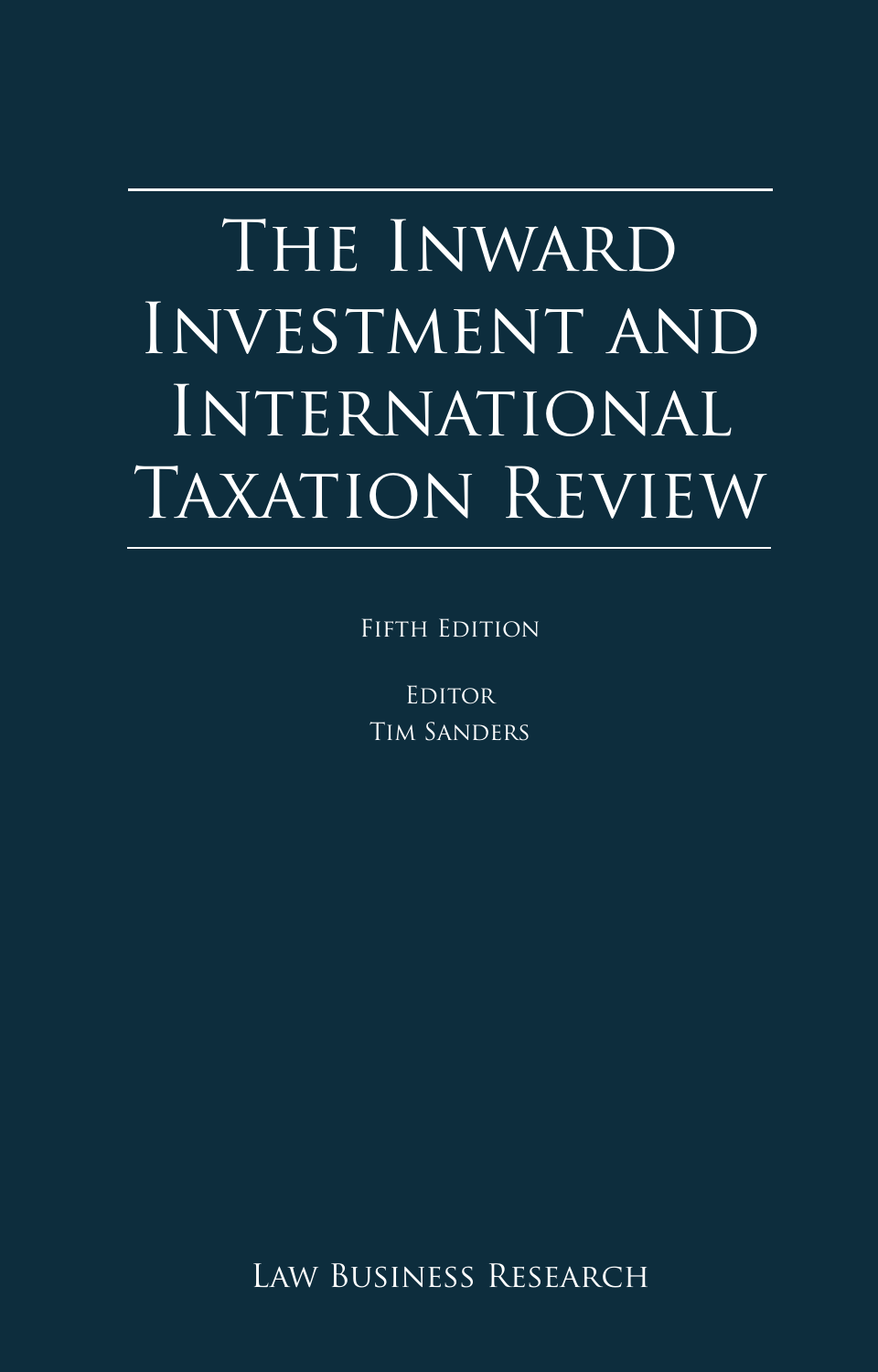# **Appendix 1** The Inward INVESTMENT AND International Taxation Review

FIFTH EDITION

**EDITOR** Tim Sanders

LAW BUSINESS RESEARCH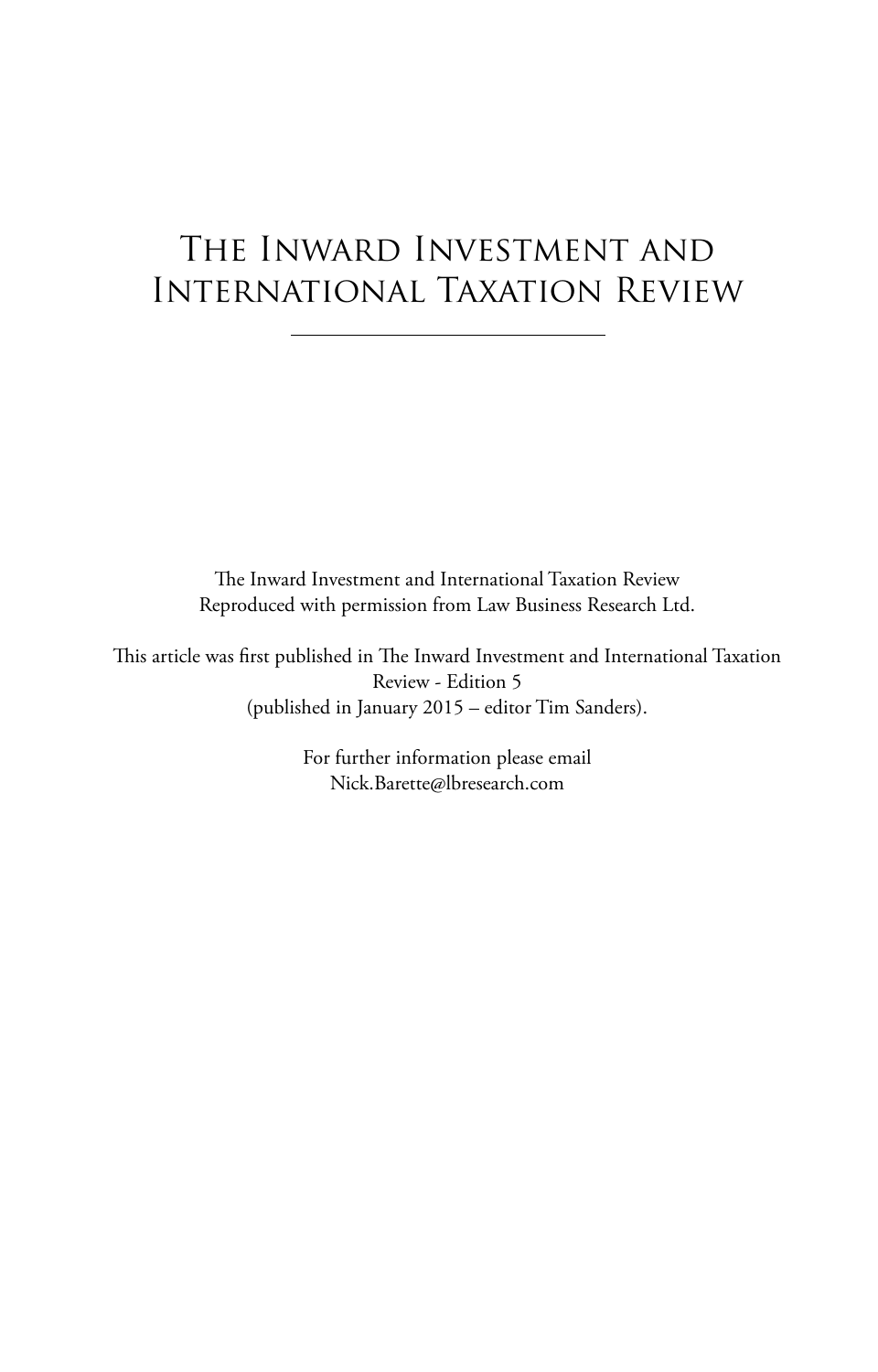# The Inward Investment and International Taxation Review

The Inward Investment and International Taxation Review Reproduced with permission from Law Business Research Ltd.

This article was first published in The Inward Investment and International Taxation Review - Edition 5 (published in January 2015 – editor Tim Sanders).

> For further information please email Nick.Barette@lbresearch.com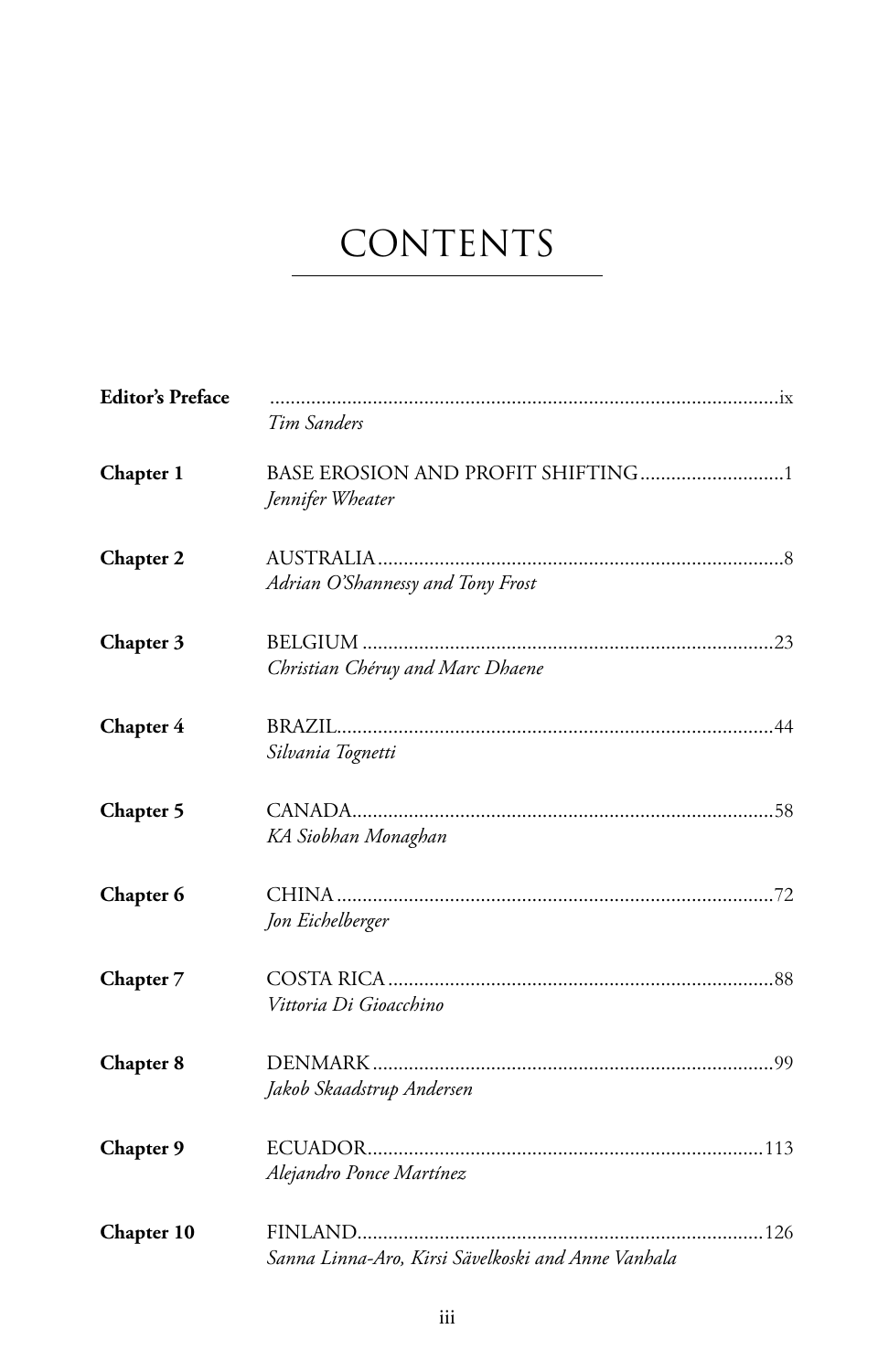# **CONTENTS**

| <b>Editor's Preface</b> | Tim Sanders                                        |
|-------------------------|----------------------------------------------------|
| Chapter 1               | Jennifer Wheater                                   |
| <b>Chapter 2</b>        | Adrian O'Shannessy and Tony Frost                  |
| Chapter 3               | Christian Chéruy and Marc Dhaene                   |
| Chapter 4               | Silvania Tognetti                                  |
| Chapter 5               | KA Siobhan Monaghan                                |
| Chapter 6               | Jon Eichelberger                                   |
| Chapter 7               | Vittoria Di Gioacchino                             |
| Chapter 8               | Jakob Skaadstrup Andersen                          |
| Chapter 9               | Alejandro Ponce Martínez                           |
| Chapter 10              | Sanna Linna-Aro, Kirsi Sävelkoski and Anne Vanhala |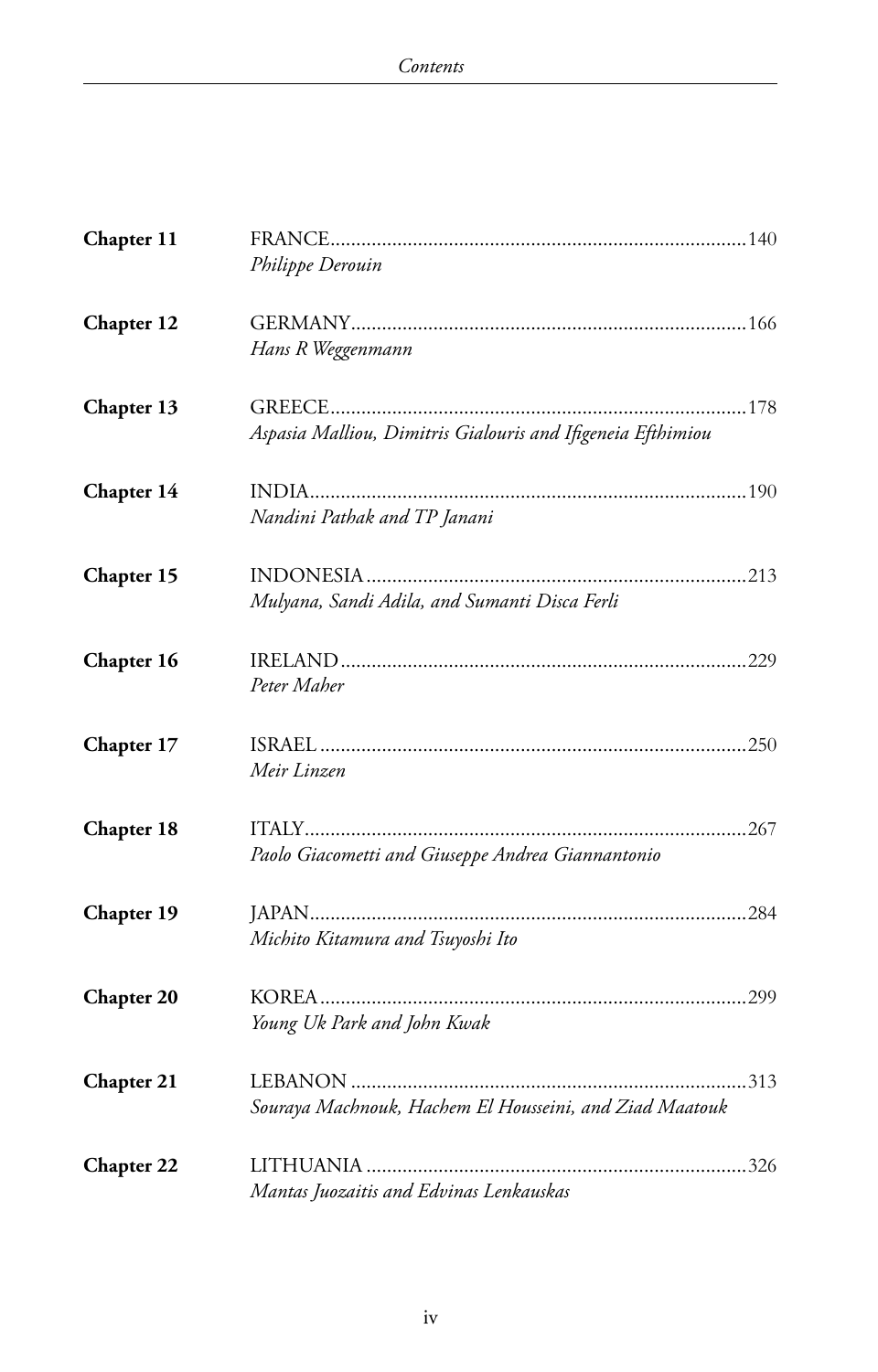| Chapter 11        |                                                             |  |
|-------------------|-------------------------------------------------------------|--|
|                   | Philippe Derouin                                            |  |
| Chapter 12        |                                                             |  |
|                   | Hans R Weggenmann                                           |  |
| Chapter 13        |                                                             |  |
|                   | Aspasia Malliou, Dimitris Gialouris and Ifigeneia Efthimiou |  |
| Chapter 14        |                                                             |  |
|                   | Nandini Pathak and TP Janani                                |  |
| Chapter 15        |                                                             |  |
|                   | Mulyana, Sandi Adila, and Sumanti Disca Ferli               |  |
| Chapter 16        |                                                             |  |
|                   | Peter Maher                                                 |  |
| Chapter 17        |                                                             |  |
|                   | Meir Linzen                                                 |  |
| Chapter 18        |                                                             |  |
|                   | Paolo Giacometti and Giuseppe Andrea Giannantonio           |  |
| Chapter 19        |                                                             |  |
|                   | Michito Kitamura and Tsuyoshi Ito                           |  |
| <b>Chapter 20</b> |                                                             |  |
|                   | Young Uk Park and John Kwak                                 |  |
| Chapter 21        |                                                             |  |
|                   | Souraya Machnouk, Hachem El Housseini, and Ziad Maatouk     |  |
| Chapter 22        |                                                             |  |
|                   | Mantas Juozaitis and Edvinas Lenkauskas                     |  |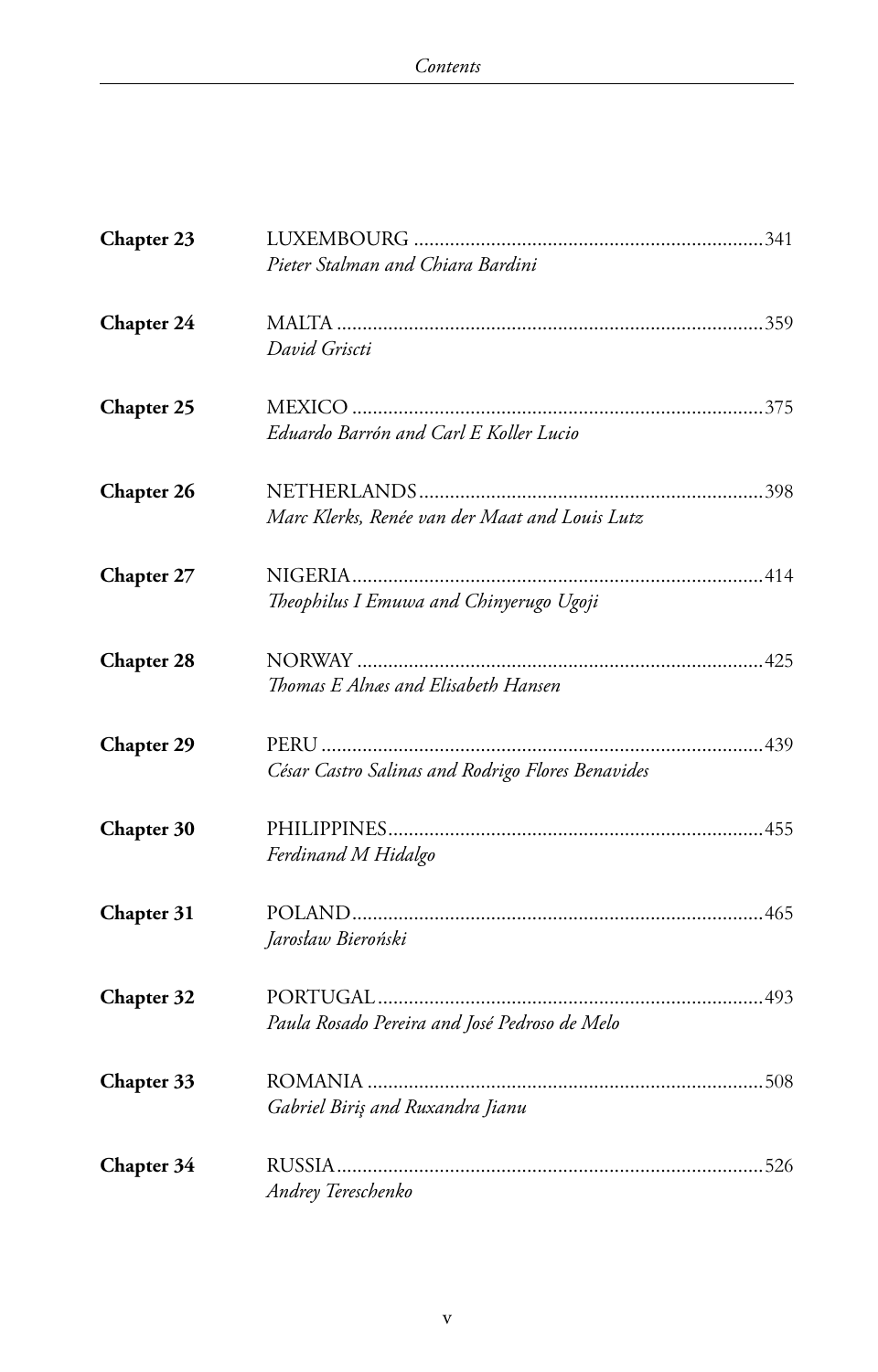| Chapter 23        |                                                   |  |
|-------------------|---------------------------------------------------|--|
|                   | Pieter Stalman and Chiara Bardini                 |  |
| Chapter 24        | David Griscti                                     |  |
| Chapter 25        | Eduardo Barrón and Carl E Koller Lucio            |  |
| Chapter 26        | Marc Klerks, Renée van der Maat and Louis Lutz    |  |
| Chapter 27        | Theophilus I Emuwa and Chinyerugo Ugoji           |  |
| Chapter 28        | Thomas E Alnas and Elisabeth Hansen               |  |
| <b>Chapter 29</b> | César Castro Salinas and Rodrigo Flores Benavides |  |
| Chapter 30        | Ferdinand M Hidalgo                               |  |
| Chapter 31        | Jarosław Bieroński                                |  |
| Chapter 32        | Paula Rosado Pereira and José Pedroso de Melo     |  |
| Chapter 33        | Gabriel Biriş and Ruxandra Jianu                  |  |
| Chapter 34        | Andrey Tereschenko                                |  |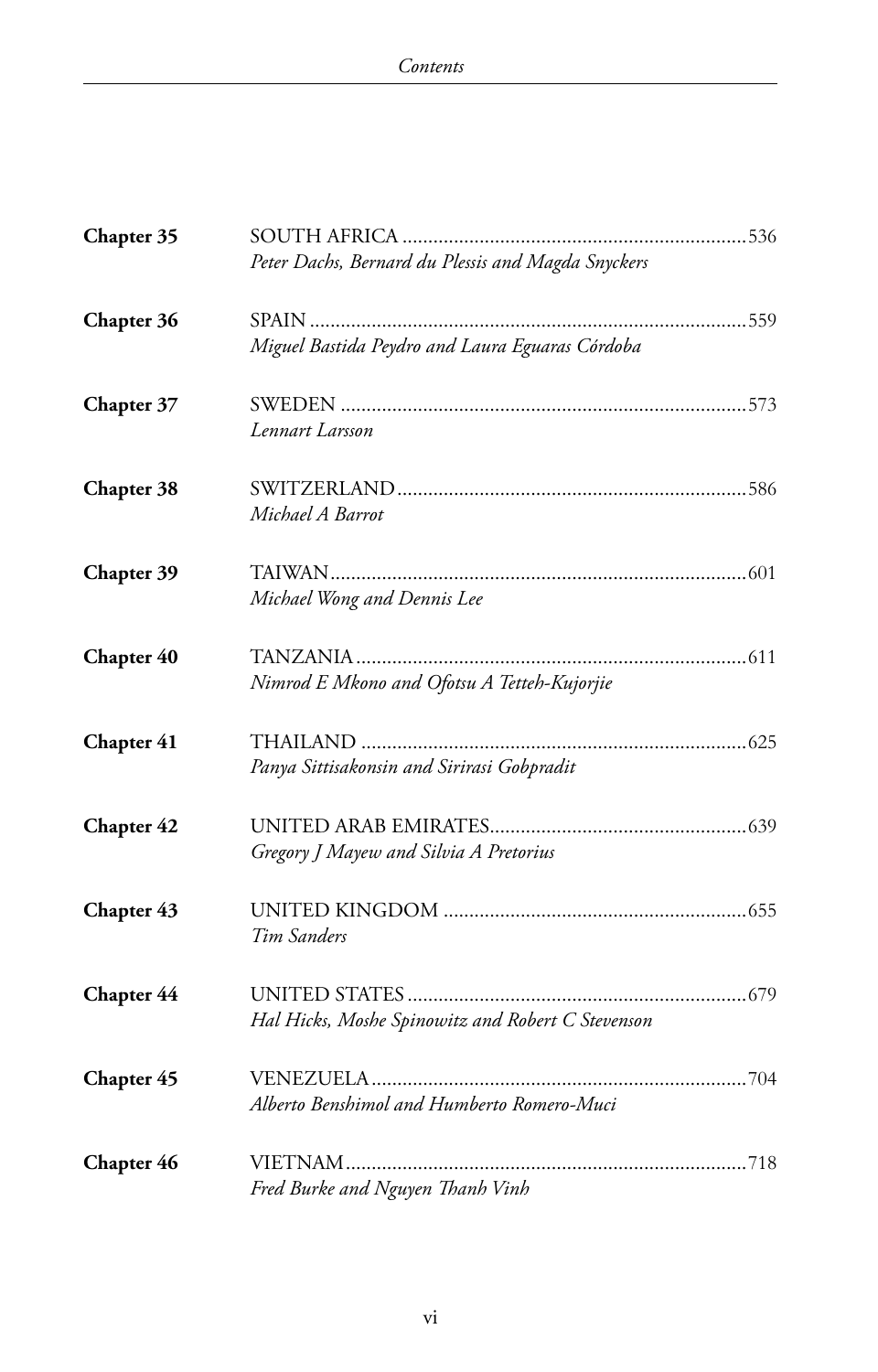| Chapter 35 |                                                    |  |
|------------|----------------------------------------------------|--|
|            | Peter Dachs, Bernard du Plessis and Magda Snyckers |  |
| Chapter 36 |                                                    |  |
|            | Miguel Bastida Peydro and Laura Eguaras Córdoba    |  |
| Chapter 37 |                                                    |  |
|            | Lennart Larsson                                    |  |
| Chapter 38 |                                                    |  |
|            | Michael A Barrot                                   |  |
| Chapter 39 |                                                    |  |
|            | Michael Wong and Dennis Lee                        |  |
| Chapter 40 |                                                    |  |
|            | Nimrod E Mkono and Ofotsu A Tetteh-Kujorjie        |  |
| Chapter 41 |                                                    |  |
|            | Panya Sittisakonsin and Sirirasi Gobpradit         |  |
| Chapter 42 |                                                    |  |
|            | Gregory J Mayew and Silvia A Pretorius             |  |
| Chapter 43 |                                                    |  |
|            | Tim Sanders                                        |  |
| Chapter 44 |                                                    |  |
|            | Hal Hicks, Moshe Spinowitz and Robert C Stevenson  |  |
| Chapter 45 |                                                    |  |
|            | Alberto Benshimol and Humberto Romero-Muci         |  |
| Chapter 46 |                                                    |  |
|            | Fred Burke and Nguyen Thanh Vinh                   |  |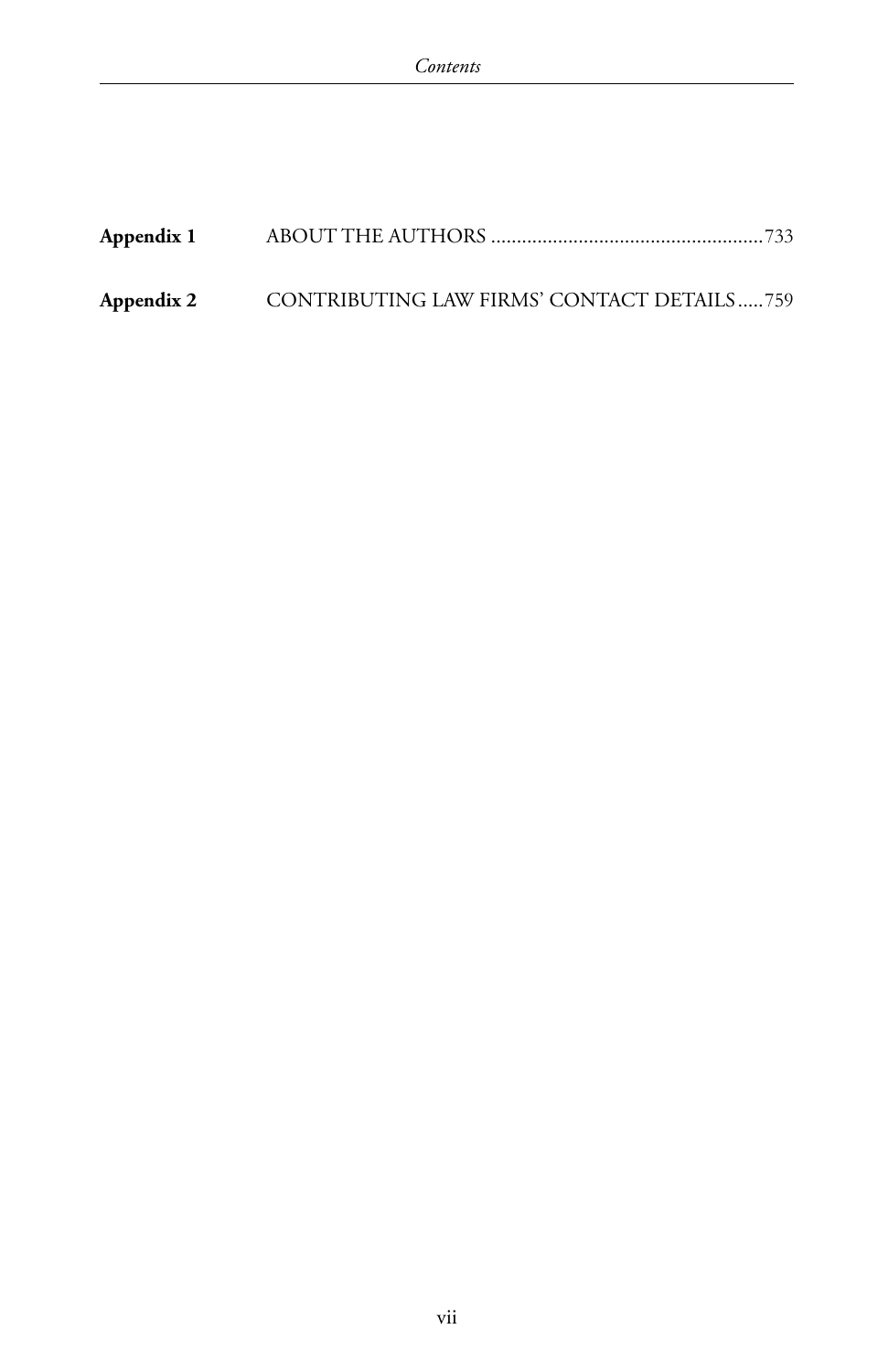| Appendix 1 |                                            |  |
|------------|--------------------------------------------|--|
| Appendix 2 | CONTRIBUTING LAW FIRMS' CONTACT DETAILS759 |  |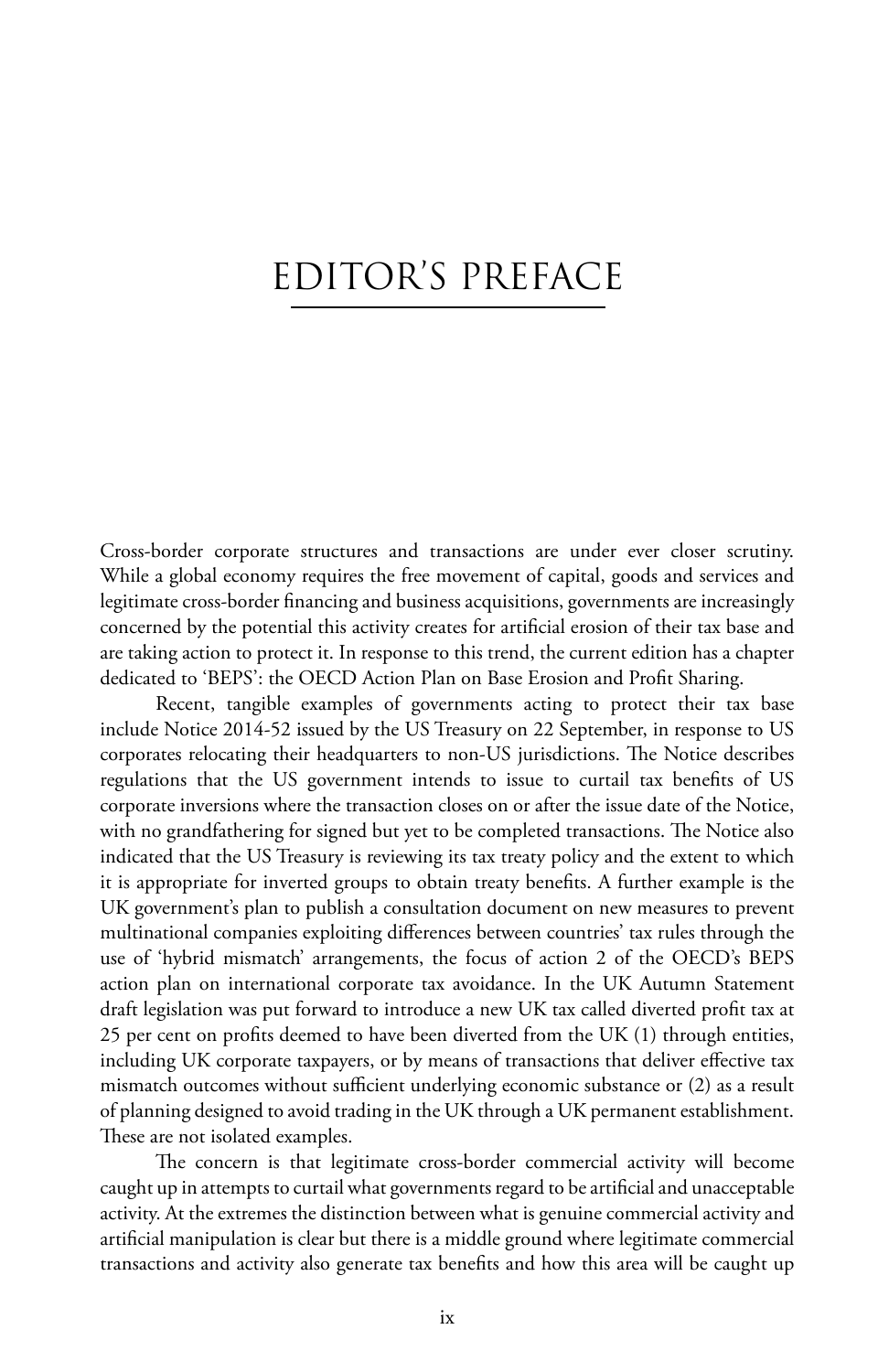# EDITOR'S PREFACE

Cross-border corporate structures and transactions are under ever closer scrutiny. While a global economy requires the free movement of capital, goods and services and legitimate cross-border financing and business acquisitions, governments are increasingly concerned by the potential this activity creates for artificial erosion of their tax base and are taking action to protect it. In response to this trend, the current edition has a chapter dedicated to 'BEPS': the OECD Action Plan on Base Erosion and Profit Sharing.

Recent, tangible examples of governments acting to protect their tax base include Notice 2014-52 issued by the US Treasury on 22 September, in response to US corporates relocating their headquarters to non-US jurisdictions. The Notice describes regulations that the US government intends to issue to curtail tax benefits of US corporate inversions where the transaction closes on or after the issue date of the Notice, with no grandfathering for signed but yet to be completed transactions. The Notice also indicated that the US Treasury is reviewing its tax treaty policy and the extent to which it is appropriate for inverted groups to obtain treaty benefits. A further example is the UK government's plan to publish a consultation document on new measures to prevent multinational companies exploiting differences between countries' tax rules through the use of 'hybrid mismatch' arrangements, the focus of action 2 of the OECD's BEPS action plan on international corporate tax avoidance. In the UK Autumn Statement draft legislation was put forward to introduce a new UK tax called diverted profit tax at 25 per cent on profits deemed to have been diverted from the UK (1) through entities, including UK corporate taxpayers, or by means of transactions that deliver effective tax mismatch outcomes without sufficient underlying economic substance or (2) as a result of planning designed to avoid trading in the UK through a UK permanent establishment. These are not isolated examples.

The concern is that legitimate cross-border commercial activity will become caught up in attempts to curtail what governments regard to be artificial and unacceptable activity. At the extremes the distinction between what is genuine commercial activity and artificial manipulation is clear but there is a middle ground where legitimate commercial transactions and activity also generate tax benefits and how this area will be caught up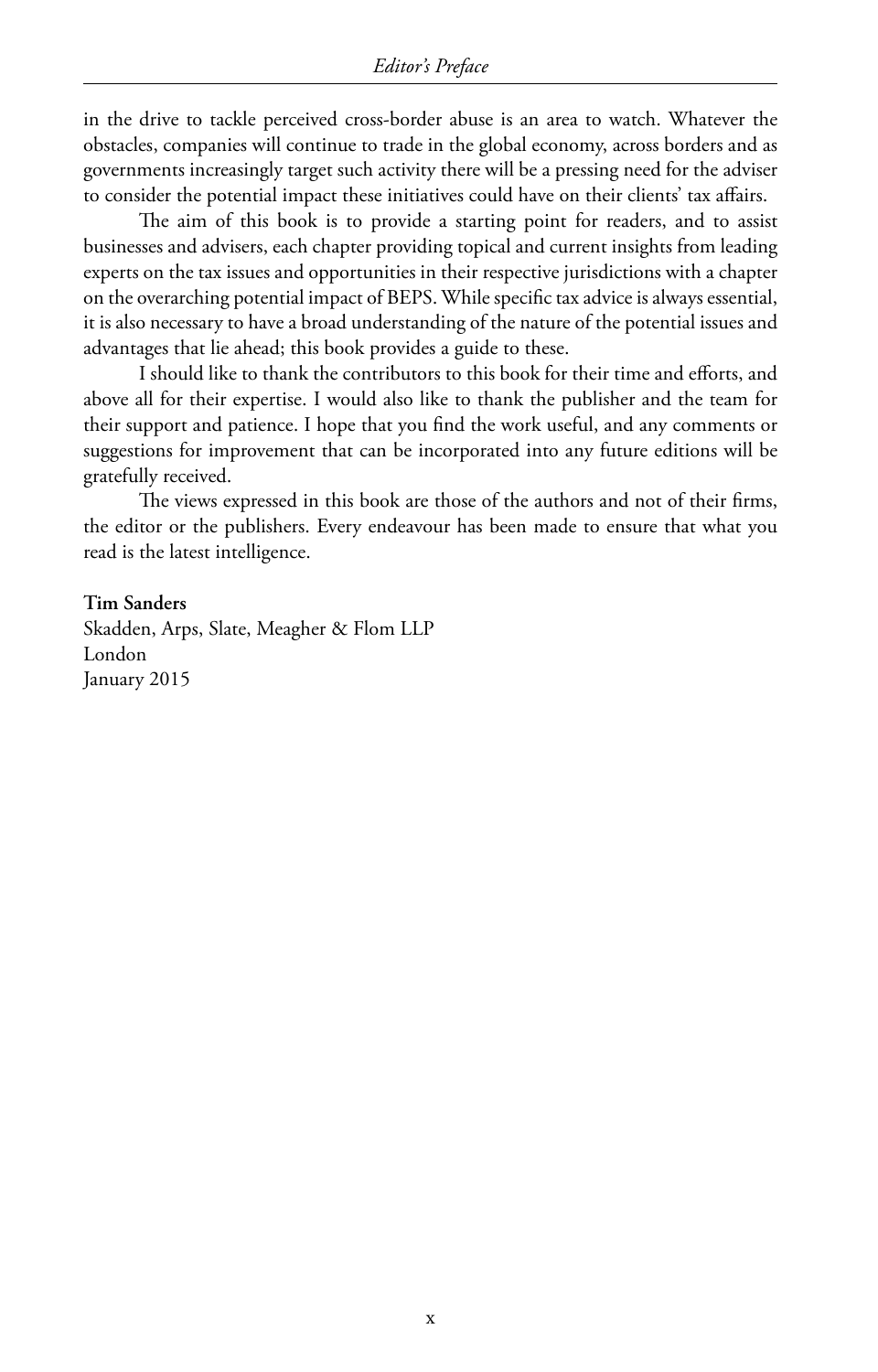in the drive to tackle perceived cross-border abuse is an area to watch. Whatever the obstacles, companies will continue to trade in the global economy, across borders and as governments increasingly target such activity there will be a pressing need for the adviser to consider the potential impact these initiatives could have on their clients' tax affairs.

The aim of this book is to provide a starting point for readers, and to assist businesses and advisers, each chapter providing topical and current insights from leading experts on the tax issues and opportunities in their respective jurisdictions with a chapter on the overarching potential impact of BEPS. While specific tax advice is always essential, it is also necessary to have a broad understanding of the nature of the potential issues and advantages that lie ahead; this book provides a guide to these.

I should like to thank the contributors to this book for their time and efforts, and above all for their expertise. I would also like to thank the publisher and the team for their support and patience. I hope that you find the work useful, and any comments or suggestions for improvement that can be incorporated into any future editions will be gratefully received.

The views expressed in this book are those of the authors and not of their firms, the editor or the publishers. Every endeavour has been made to ensure that what you read is the latest intelligence.

#### **Tim Sanders**

Skadden, Arps, Slate, Meagher & Flom LLP London January 2015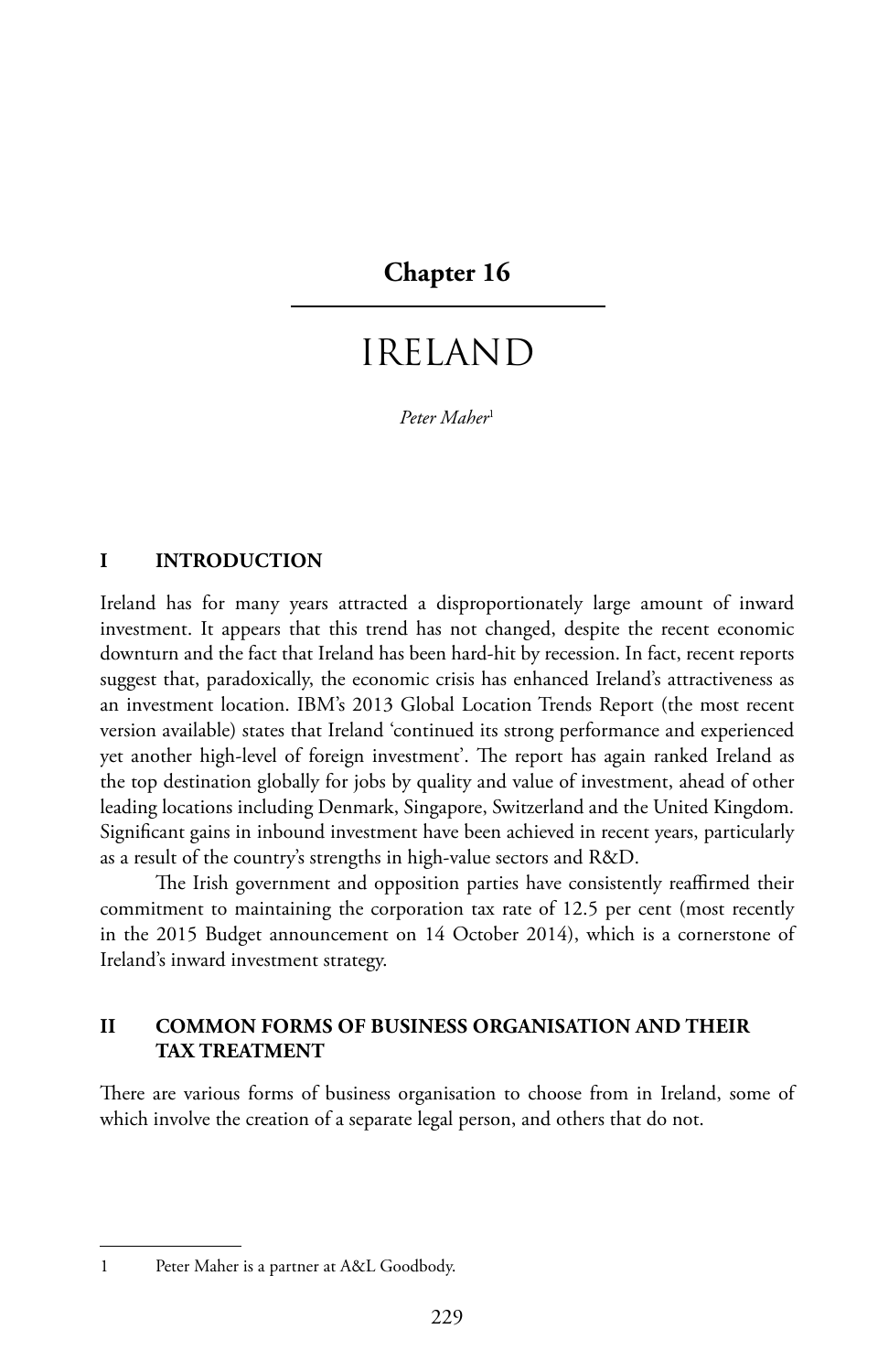#### **Chapter 16**

### IRELAND

*Peter Maher*<sup>1</sup>

#### **I INTRODUCTION**

Ireland has for many years attracted a disproportionately large amount of inward investment. It appears that this trend has not changed, despite the recent economic downturn and the fact that Ireland has been hard-hit by recession. In fact, recent reports suggest that, paradoxically, the economic crisis has enhanced Ireland's attractiveness as an investment location. IBM's 2013 Global Location Trends Report (the most recent version available) states that Ireland 'continued its strong performance and experienced yet another high-level of foreign investment'. The report has again ranked Ireland as the top destination globally for jobs by quality and value of investment, ahead of other leading locations including Denmark, Singapore, Switzerland and the United Kingdom. Significant gains in inbound investment have been achieved in recent years, particularly as a result of the country's strengths in high-value sectors and R&D.

The Irish government and opposition parties have consistently reaffirmed their commitment to maintaining the corporation tax rate of 12.5 per cent (most recently in the 2015 Budget announcement on 14 October 2014), which is a cornerstone of Ireland's inward investment strategy.

#### **II COMMON FORMS OF BUSINESS ORGANISATION AND THEIR TAX TREATMENT**

There are various forms of business organisation to choose from in Ireland, some of which involve the creation of a separate legal person, and others that do not.

<sup>1</sup> Peter Maher is a partner at A&L Goodbody.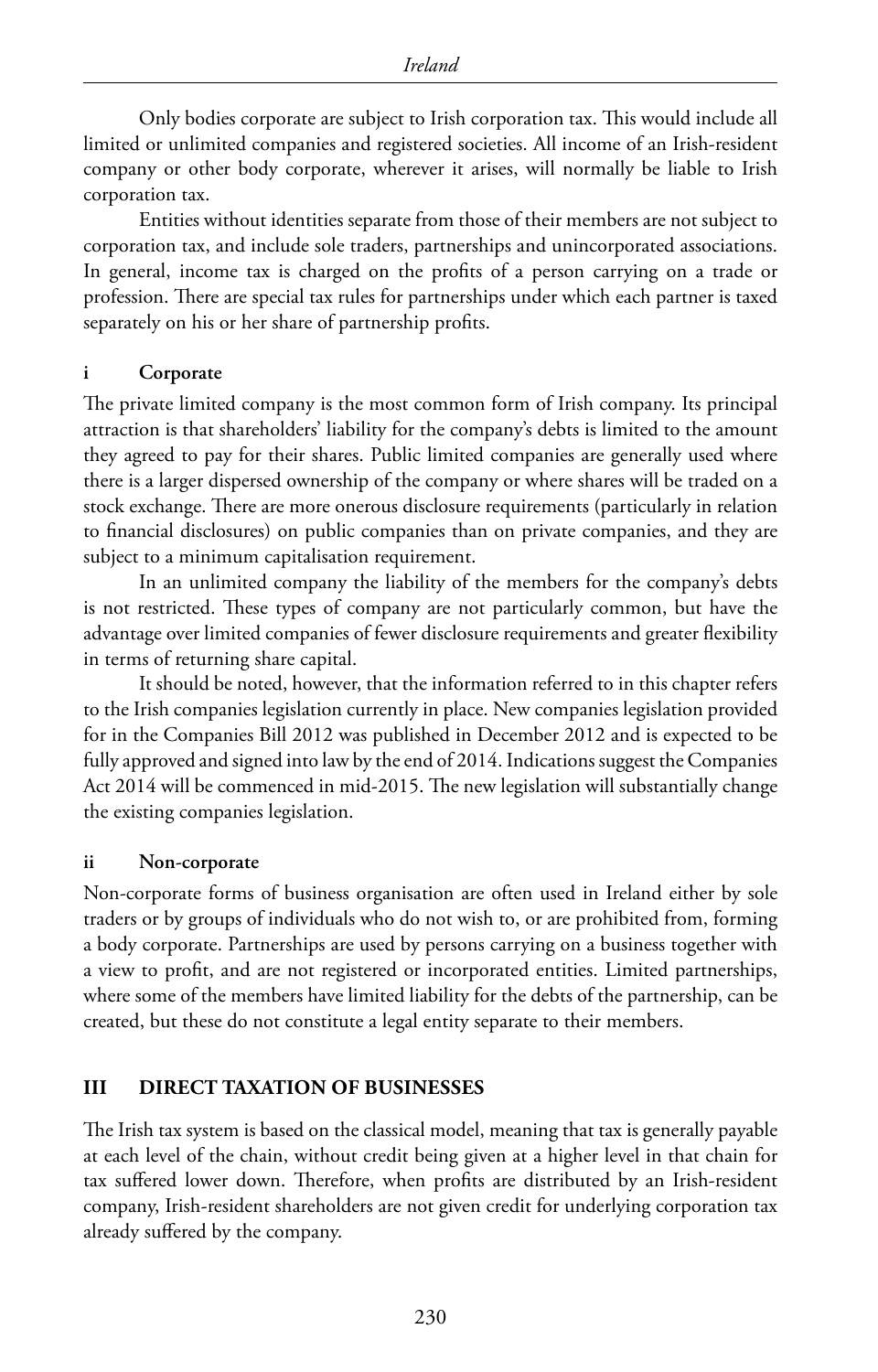Only bodies corporate are subject to Irish corporation tax. This would include all limited or unlimited companies and registered societies. All income of an Irish-resident company or other body corporate, wherever it arises, will normally be liable to Irish corporation tax.

Entities without identities separate from those of their members are not subject to corporation tax, and include sole traders, partnerships and unincorporated associations. In general, income tax is charged on the profits of a person carrying on a trade or profession. There are special tax rules for partnerships under which each partner is taxed separately on his or her share of partnership profits.

#### **i Corporate**

The private limited company is the most common form of Irish company. Its principal attraction is that shareholders' liability for the company's debts is limited to the amount they agreed to pay for their shares. Public limited companies are generally used where there is a larger dispersed ownership of the company or where shares will be traded on a stock exchange. There are more onerous disclosure requirements (particularly in relation to financial disclosures) on public companies than on private companies, and they are subject to a minimum capitalisation requirement.

In an unlimited company the liability of the members for the company's debts is not restricted. These types of company are not particularly common, but have the advantage over limited companies of fewer disclosure requirements and greater flexibility in terms of returning share capital.

It should be noted, however, that the information referred to in this chapter refers to the Irish companies legislation currently in place. New companies legislation provided for in the Companies Bill 2012 was published in December 2012 and is expected to be fully approved and signed into law by the end of 2014. Indications suggest the Companies Act 2014 will be commenced in mid-2015. The new legislation will substantially change the existing companies legislation.

#### **ii Non-corporate**

Non-corporate forms of business organisation are often used in Ireland either by sole traders or by groups of individuals who do not wish to, or are prohibited from, forming a body corporate. Partnerships are used by persons carrying on a business together with a view to profit, and are not registered or incorporated entities. Limited partnerships, where some of the members have limited liability for the debts of the partnership, can be created, but these do not constitute a legal entity separate to their members.

#### **III DIRECT TAXATION OF BUSINESSES**

The Irish tax system is based on the classical model, meaning that tax is generally payable at each level of the chain, without credit being given at a higher level in that chain for tax suffered lower down. Therefore, when profits are distributed by an Irish-resident company, Irish-resident shareholders are not given credit for underlying corporation tax already suffered by the company.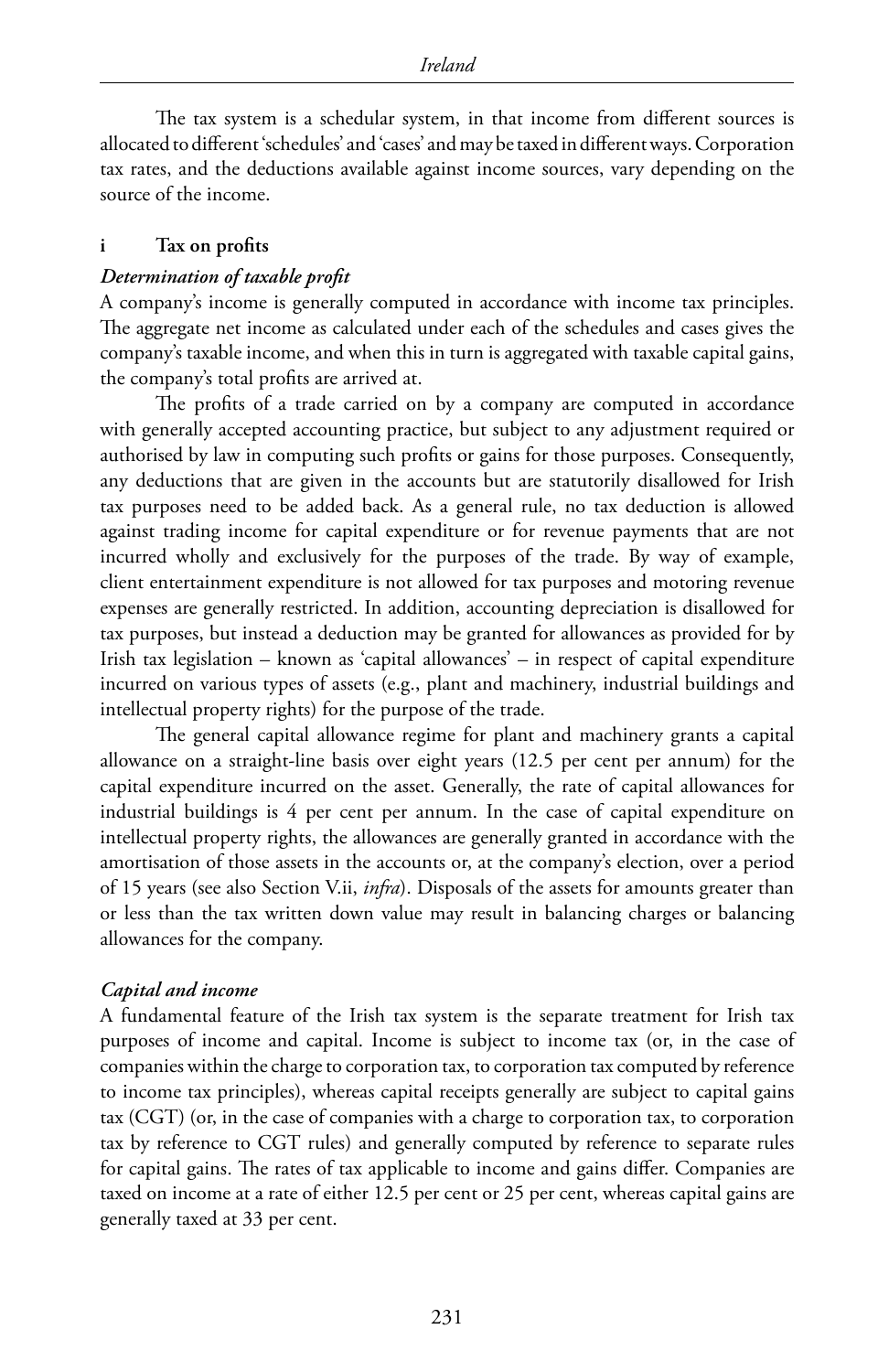The tax system is a schedular system, in that income from different sources is allocated to different 'schedules' and 'cases' and may be taxed in different ways. Corporation tax rates, and the deductions available against income sources, vary depending on the source of the income.

#### **i Tax on profits**

#### *Determination of taxable profit*

A company's income is generally computed in accordance with income tax principles. The aggregate net income as calculated under each of the schedules and cases gives the company's taxable income, and when this in turn is aggregated with taxable capital gains, the company's total profits are arrived at.

The profits of a trade carried on by a company are computed in accordance with generally accepted accounting practice, but subject to any adjustment required or authorised by law in computing such profits or gains for those purposes. Consequently, any deductions that are given in the accounts but are statutorily disallowed for Irish tax purposes need to be added back. As a general rule, no tax deduction is allowed against trading income for capital expenditure or for revenue payments that are not incurred wholly and exclusively for the purposes of the trade. By way of example, client entertainment expenditure is not allowed for tax purposes and motoring revenue expenses are generally restricted. In addition, accounting depreciation is disallowed for tax purposes, but instead a deduction may be granted for allowances as provided for by Irish tax legislation – known as 'capital allowances' – in respect of capital expenditure incurred on various types of assets (e.g., plant and machinery, industrial buildings and intellectual property rights) for the purpose of the trade.

The general capital allowance regime for plant and machinery grants a capital allowance on a straight-line basis over eight years (12.5 per cent per annum) for the capital expenditure incurred on the asset. Generally, the rate of capital allowances for industrial buildings is 4 per cent per annum. In the case of capital expenditure on intellectual property rights, the allowances are generally granted in accordance with the amortisation of those assets in the accounts or, at the company's election, over a period of 15 years (see also Section V.ii, *infra*). Disposals of the assets for amounts greater than or less than the tax written down value may result in balancing charges or balancing allowances for the company.

#### *Capital and income*

A fundamental feature of the Irish tax system is the separate treatment for Irish tax purposes of income and capital. Income is subject to income tax (or, in the case of companies within the charge to corporation tax, to corporation tax computed by reference to income tax principles), whereas capital receipts generally are subject to capital gains tax (CGT) (or, in the case of companies with a charge to corporation tax, to corporation tax by reference to CGT rules) and generally computed by reference to separate rules for capital gains. The rates of tax applicable to income and gains differ. Companies are taxed on income at a rate of either 12.5 per cent or 25 per cent, whereas capital gains are generally taxed at 33 per cent.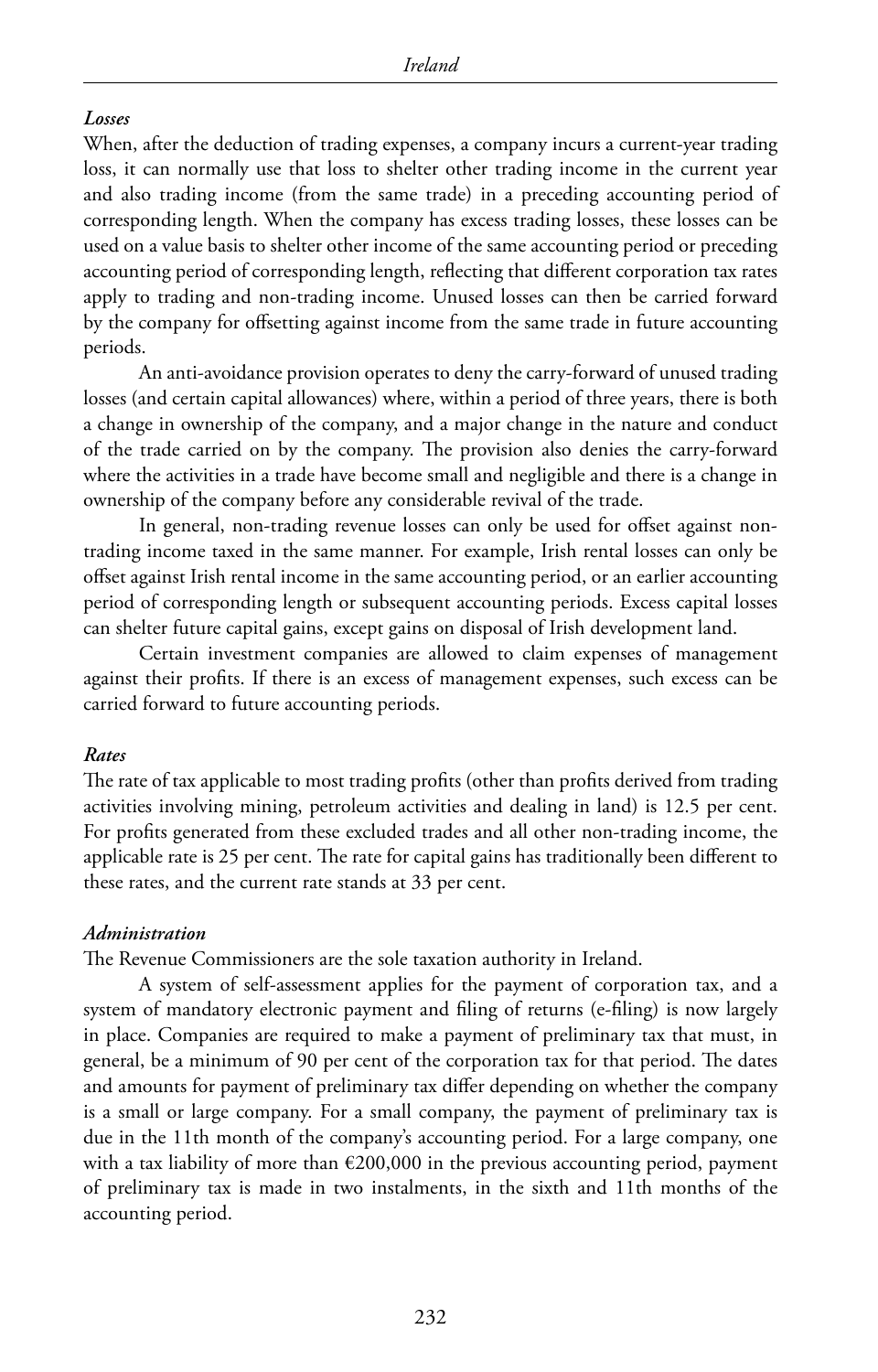#### *Losses*

When, after the deduction of trading expenses, a company incurs a current-year trading loss, it can normally use that loss to shelter other trading income in the current year and also trading income (from the same trade) in a preceding accounting period of corresponding length. When the company has excess trading losses, these losses can be used on a value basis to shelter other income of the same accounting period or preceding accounting period of corresponding length, reflecting that different corporation tax rates apply to trading and non-trading income. Unused losses can then be carried forward by the company for offsetting against income from the same trade in future accounting periods.

An anti-avoidance provision operates to deny the carry-forward of unused trading losses (and certain capital allowances) where, within a period of three years, there is both a change in ownership of the company, and a major change in the nature and conduct of the trade carried on by the company. The provision also denies the carry-forward where the activities in a trade have become small and negligible and there is a change in ownership of the company before any considerable revival of the trade.

In general, non-trading revenue losses can only be used for offset against nontrading income taxed in the same manner. For example, Irish rental losses can only be offset against Irish rental income in the same accounting period, or an earlier accounting period of corresponding length or subsequent accounting periods. Excess capital losses can shelter future capital gains, except gains on disposal of Irish development land.

Certain investment companies are allowed to claim expenses of management against their profits. If there is an excess of management expenses, such excess can be carried forward to future accounting periods.

#### *Rates*

The rate of tax applicable to most trading profits (other than profits derived from trading activities involving mining, petroleum activities and dealing in land) is 12.5 per cent. For profits generated from these excluded trades and all other non-trading income, the applicable rate is 25 per cent. The rate for capital gains has traditionally been different to these rates, and the current rate stands at 33 per cent.

#### *Administration*

The Revenue Commissioners are the sole taxation authority in Ireland.

A system of self-assessment applies for the payment of corporation tax, and a system of mandatory electronic payment and filing of returns (e-filing) is now largely in place. Companies are required to make a payment of preliminary tax that must, in general, be a minimum of 90 per cent of the corporation tax for that period. The dates and amounts for payment of preliminary tax differ depending on whether the company is a small or large company. For a small company, the payment of preliminary tax is due in the 11th month of the company's accounting period. For a large company, one with a tax liability of more than €200,000 in the previous accounting period, payment of preliminary tax is made in two instalments, in the sixth and 11th months of the accounting period.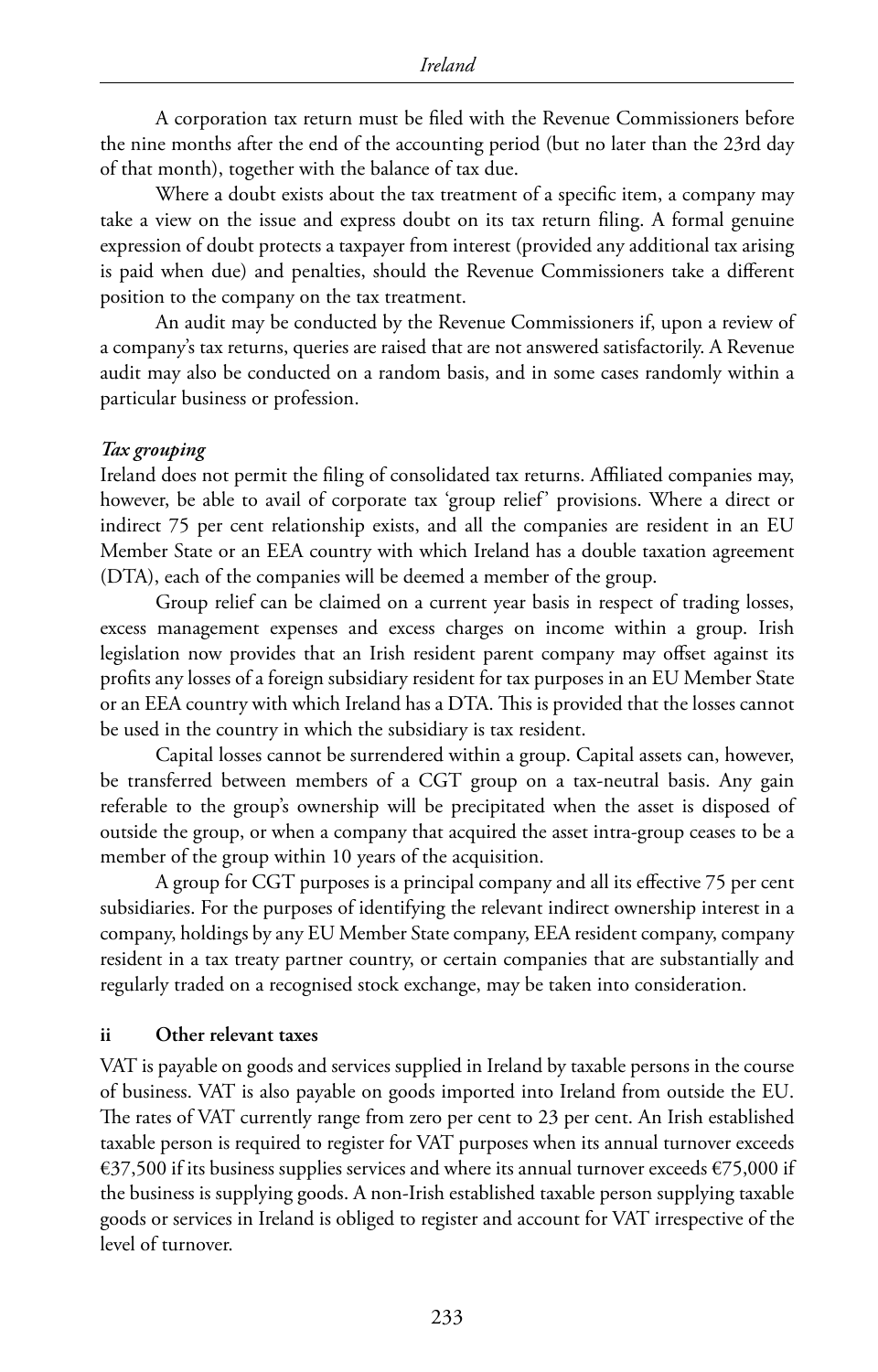A corporation tax return must be filed with the Revenue Commissioners before the nine months after the end of the accounting period (but no later than the 23rd day of that month), together with the balance of tax due.

Where a doubt exists about the tax treatment of a specific item, a company may take a view on the issue and express doubt on its tax return filing. A formal genuine expression of doubt protects a taxpayer from interest (provided any additional tax arising is paid when due) and penalties, should the Revenue Commissioners take a different position to the company on the tax treatment.

An audit may be conducted by the Revenue Commissioners if, upon a review of a company's tax returns, queries are raised that are not answered satisfactorily. A Revenue audit may also be conducted on a random basis, and in some cases randomly within a particular business or profession.

#### *Tax grouping*

Ireland does not permit the filing of consolidated tax returns. Affiliated companies may, however, be able to avail of corporate tax 'group relief' provisions. Where a direct or indirect 75 per cent relationship exists, and all the companies are resident in an EU Member State or an EEA country with which Ireland has a double taxation agreement (DTA), each of the companies will be deemed a member of the group.

Group relief can be claimed on a current year basis in respect of trading losses, excess management expenses and excess charges on income within a group. Irish legislation now provides that an Irish resident parent company may offset against its profits any losses of a foreign subsidiary resident for tax purposes in an EU Member State or an EEA country with which Ireland has a DTA. This is provided that the losses cannot be used in the country in which the subsidiary is tax resident.

Capital losses cannot be surrendered within a group. Capital assets can, however, be transferred between members of a CGT group on a tax-neutral basis. Any gain referable to the group's ownership will be precipitated when the asset is disposed of outside the group, or when a company that acquired the asset intra-group ceases to be a member of the group within 10 years of the acquisition.

A group for CGT purposes is a principal company and all its effective 75 per cent subsidiaries. For the purposes of identifying the relevant indirect ownership interest in a company, holdings by any EU Member State company, EEA resident company, company resident in a tax treaty partner country, or certain companies that are substantially and regularly traded on a recognised stock exchange, may be taken into consideration.

#### **ii Other relevant taxes**

VAT is payable on goods and services supplied in Ireland by taxable persons in the course of business. VAT is also payable on goods imported into Ireland from outside the EU. The rates of VAT currently range from zero per cent to 23 per cent. An Irish established taxable person is required to register for VAT purposes when its annual turnover exceeds €37,500 if its business supplies services and where its annual turnover exceeds €75,000 if the business is supplying goods. A non-Irish established taxable person supplying taxable goods or services in Ireland is obliged to register and account for VAT irrespective of the level of turnover.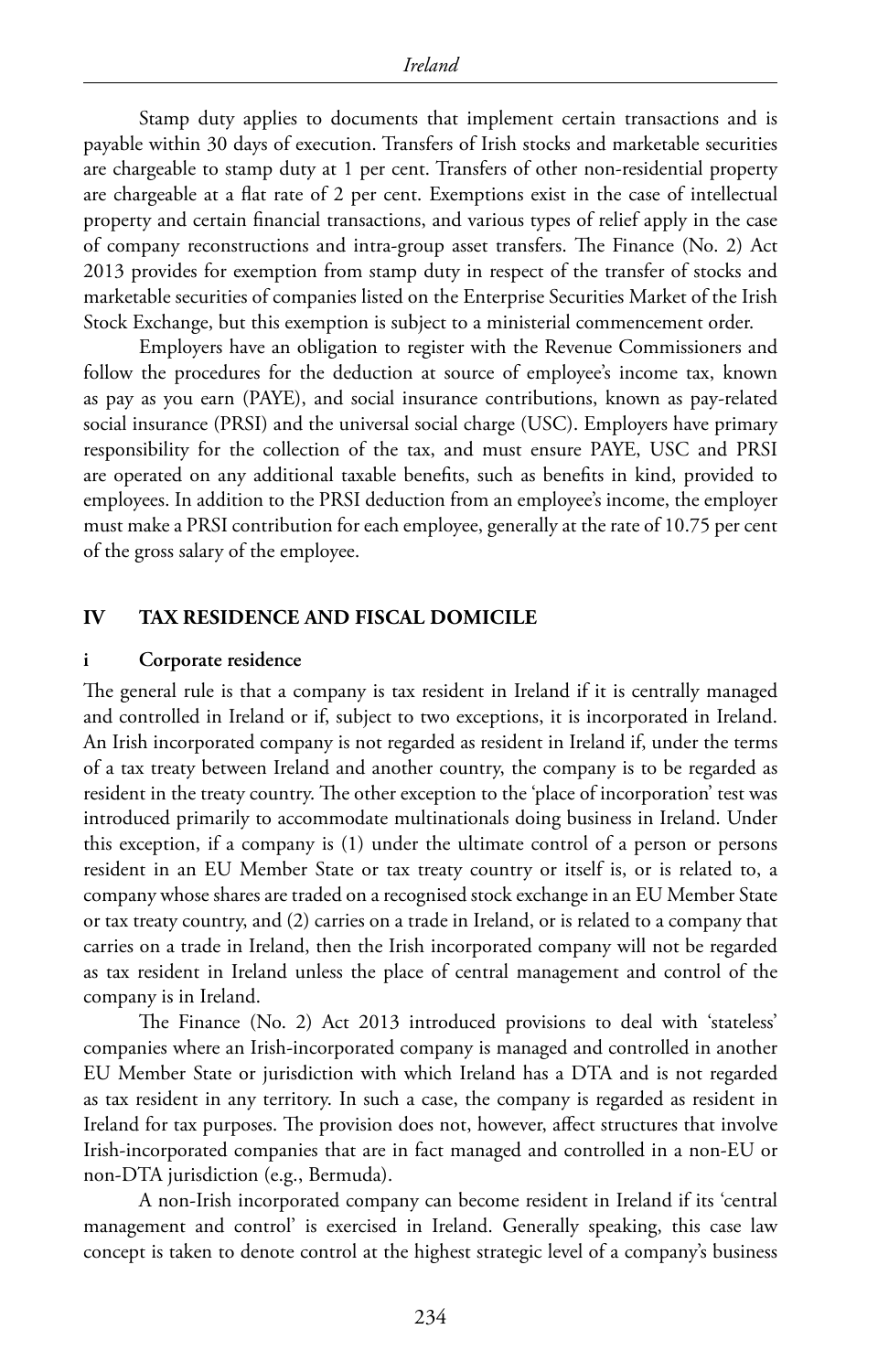Stamp duty applies to documents that implement certain transactions and is payable within 30 days of execution. Transfers of Irish stocks and marketable securities are chargeable to stamp duty at 1 per cent. Transfers of other non-residential property are chargeable at a flat rate of 2 per cent. Exemptions exist in the case of intellectual property and certain financial transactions, and various types of relief apply in the case of company reconstructions and intra-group asset transfers. The Finance (No. 2) Act 2013 provides for exemption from stamp duty in respect of the transfer of stocks and marketable securities of companies listed on the Enterprise Securities Market of the Irish Stock Exchange, but this exemption is subject to a ministerial commencement order.

Employers have an obligation to register with the Revenue Commissioners and follow the procedures for the deduction at source of employee's income tax, known as pay as you earn (PAYE), and social insurance contributions, known as pay-related social insurance (PRSI) and the universal social charge (USC). Employers have primary responsibility for the collection of the tax, and must ensure PAYE, USC and PRSI are operated on any additional taxable benefits, such as benefits in kind, provided to employees. In addition to the PRSI deduction from an employee's income, the employer must make a PRSI contribution for each employee, generally at the rate of 10.75 per cent of the gross salary of the employee.

#### **IV TAX RESIDENCE AND FISCAL DOMICILE**

#### **i Corporate residence**

The general rule is that a company is tax resident in Ireland if it is centrally managed and controlled in Ireland or if, subject to two exceptions, it is incorporated in Ireland. An Irish incorporated company is not regarded as resident in Ireland if, under the terms of a tax treaty between Ireland and another country, the company is to be regarded as resident in the treaty country. The other exception to the 'place of incorporation' test was introduced primarily to accommodate multinationals doing business in Ireland. Under this exception, if a company is (1) under the ultimate control of a person or persons resident in an EU Member State or tax treaty country or itself is, or is related to, a company whose shares are traded on a recognised stock exchange in an EU Member State or tax treaty country, and (2) carries on a trade in Ireland, or is related to a company that carries on a trade in Ireland, then the Irish incorporated company will not be regarded as tax resident in Ireland unless the place of central management and control of the company is in Ireland.

The Finance (No. 2) Act 2013 introduced provisions to deal with 'stateless' companies where an Irish-incorporated company is managed and controlled in another EU Member State or jurisdiction with which Ireland has a DTA and is not regarded as tax resident in any territory. In such a case, the company is regarded as resident in Ireland for tax purposes. The provision does not, however, affect structures that involve Irish-incorporated companies that are in fact managed and controlled in a non-EU or non-DTA jurisdiction (e.g., Bermuda).

A non-Irish incorporated company can become resident in Ireland if its 'central management and control' is exercised in Ireland. Generally speaking, this case law concept is taken to denote control at the highest strategic level of a company's business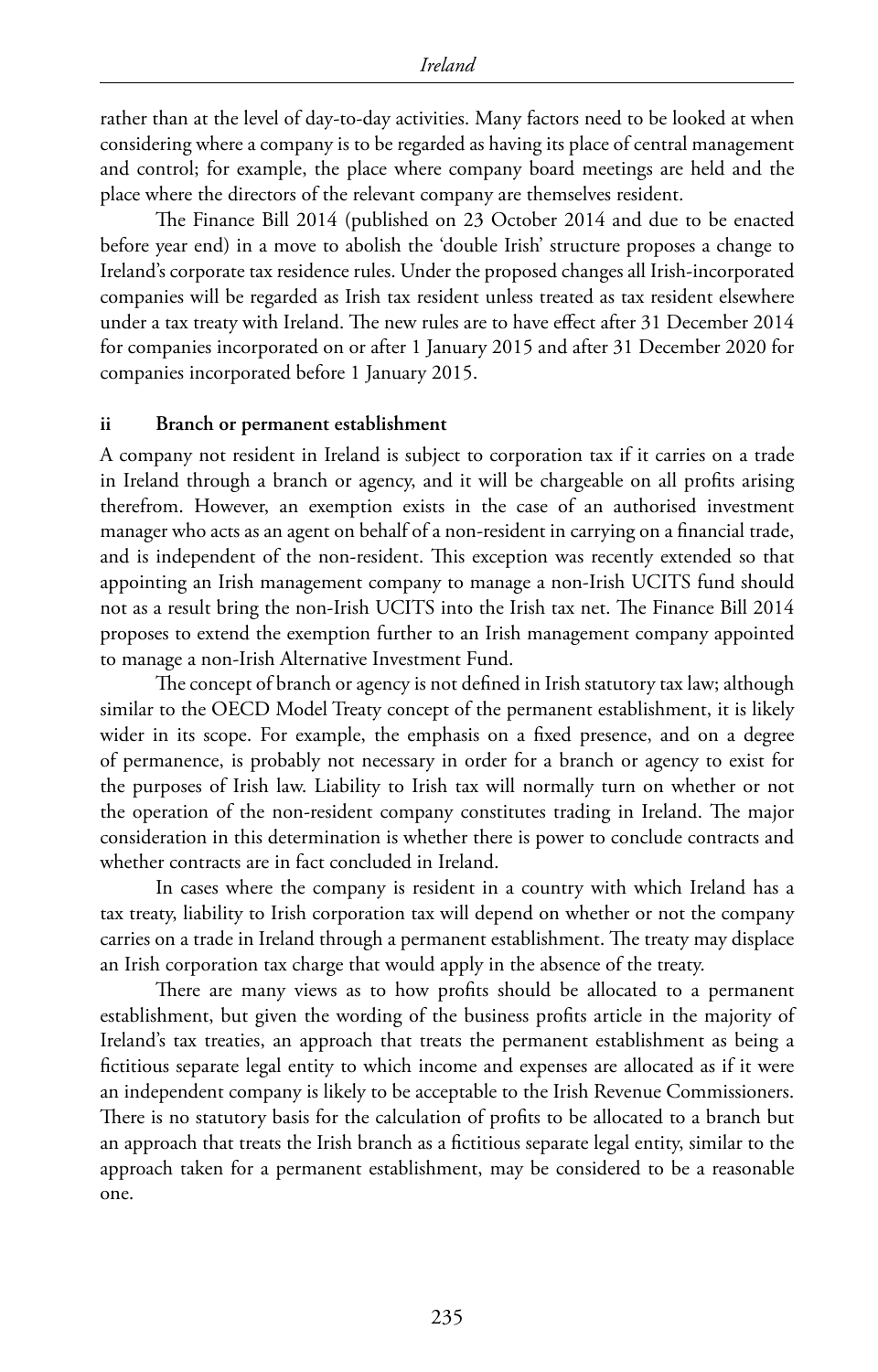rather than at the level of day-to-day activities. Many factors need to be looked at when considering where a company is to be regarded as having its place of central management and control; for example, the place where company board meetings are held and the place where the directors of the relevant company are themselves resident.

The Finance Bill 2014 (published on 23 October 2014 and due to be enacted before year end) in a move to abolish the 'double Irish' structure proposes a change to Ireland's corporate tax residence rules. Under the proposed changes all Irish-incorporated companies will be regarded as Irish tax resident unless treated as tax resident elsewhere under a tax treaty with Ireland. The new rules are to have effect after 31 December 2014 for companies incorporated on or after 1 January 2015 and after 31 December 2020 for companies incorporated before 1 January 2015.

#### **ii Branch or permanent establishment**

A company not resident in Ireland is subject to corporation tax if it carries on a trade in Ireland through a branch or agency, and it will be chargeable on all profits arising therefrom. However, an exemption exists in the case of an authorised investment manager who acts as an agent on behalf of a non-resident in carrying on a financial trade, and is independent of the non-resident. This exception was recently extended so that appointing an Irish management company to manage a non-Irish UCITS fund should not as a result bring the non-Irish UCITS into the Irish tax net. The Finance Bill 2014 proposes to extend the exemption further to an Irish management company appointed to manage a non-Irish Alternative Investment Fund.

The concept of branch or agency is not defined in Irish statutory tax law; although similar to the OECD Model Treaty concept of the permanent establishment, it is likely wider in its scope. For example, the emphasis on a fixed presence, and on a degree of permanence, is probably not necessary in order for a branch or agency to exist for the purposes of Irish law. Liability to Irish tax will normally turn on whether or not the operation of the non-resident company constitutes trading in Ireland. The major consideration in this determination is whether there is power to conclude contracts and whether contracts are in fact concluded in Ireland.

In cases where the company is resident in a country with which Ireland has a tax treaty, liability to Irish corporation tax will depend on whether or not the company carries on a trade in Ireland through a permanent establishment. The treaty may displace an Irish corporation tax charge that would apply in the absence of the treaty.

There are many views as to how profits should be allocated to a permanent establishment, but given the wording of the business profits article in the majority of Ireland's tax treaties, an approach that treats the permanent establishment as being a fictitious separate legal entity to which income and expenses are allocated as if it were an independent company is likely to be acceptable to the Irish Revenue Commissioners. There is no statutory basis for the calculation of profits to be allocated to a branch but an approach that treats the Irish branch as a fictitious separate legal entity, similar to the approach taken for a permanent establishment, may be considered to be a reasonable one.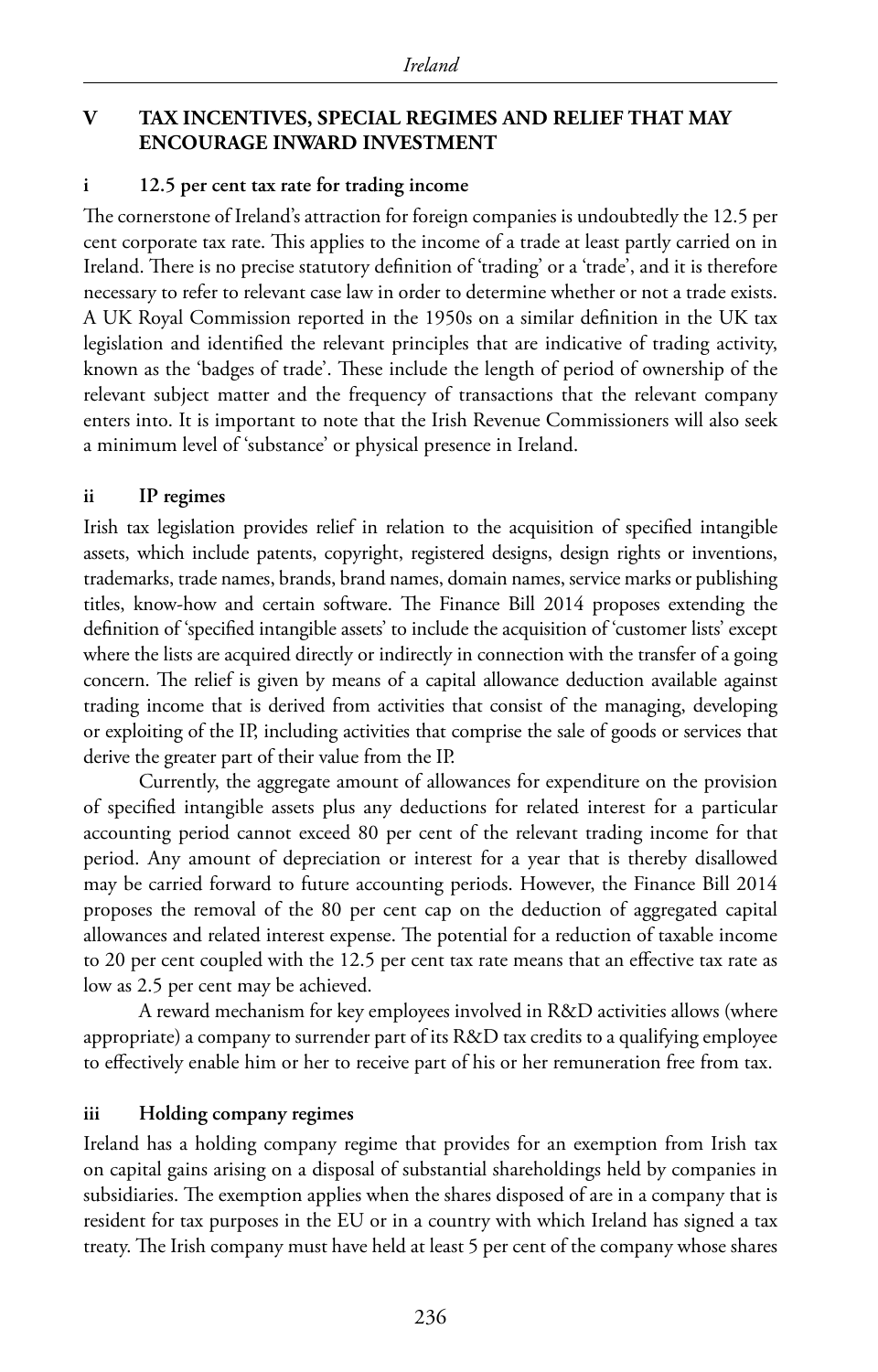#### **V TAX INCENTIVES, SPECIAL REGIMES AND RELIEF THAT MAY ENCOURAGE INWARD INVESTMENT**

#### **i 12.5 per cent tax rate for trading income**

The cornerstone of Ireland's attraction for foreign companies is undoubtedly the 12.5 per cent corporate tax rate. This applies to the income of a trade at least partly carried on in Ireland. There is no precise statutory definition of 'trading' or a 'trade', and it is therefore necessary to refer to relevant case law in order to determine whether or not a trade exists. A UK Royal Commission reported in the 1950s on a similar definition in the UK tax legislation and identified the relevant principles that are indicative of trading activity, known as the 'badges of trade'. These include the length of period of ownership of the relevant subject matter and the frequency of transactions that the relevant company enters into. It is important to note that the Irish Revenue Commissioners will also seek a minimum level of 'substance' or physical presence in Ireland.

#### **ii IP regimes**

Irish tax legislation provides relief in relation to the acquisition of specified intangible assets, which include patents, copyright, registered designs, design rights or inventions, trademarks, trade names, brands, brand names, domain names, service marks or publishing titles, know-how and certain software. The Finance Bill 2014 proposes extending the definition of 'specified intangible assets' to include the acquisition of 'customer lists' except where the lists are acquired directly or indirectly in connection with the transfer of a going concern. The relief is given by means of a capital allowance deduction available against trading income that is derived from activities that consist of the managing, developing or exploiting of the IP, including activities that comprise the sale of goods or services that derive the greater part of their value from the IP.

Currently, the aggregate amount of allowances for expenditure on the provision of specified intangible assets plus any deductions for related interest for a particular accounting period cannot exceed 80 per cent of the relevant trading income for that period. Any amount of depreciation or interest for a year that is thereby disallowed may be carried forward to future accounting periods. However, the Finance Bill 2014 proposes the removal of the 80 per cent cap on the deduction of aggregated capital allowances and related interest expense. The potential for a reduction of taxable income to 20 per cent coupled with the 12.5 per cent tax rate means that an effective tax rate as low as 2.5 per cent may be achieved.

A reward mechanism for key employees involved in R&D activities allows (where appropriate) a company to surrender part of its R&D tax credits to a qualifying employee to effectively enable him or her to receive part of his or her remuneration free from tax.

#### **iii Holding company regimes**

Ireland has a holding company regime that provides for an exemption from Irish tax on capital gains arising on a disposal of substantial shareholdings held by companies in subsidiaries. The exemption applies when the shares disposed of are in a company that is resident for tax purposes in the EU or in a country with which Ireland has signed a tax treaty. The Irish company must have held at least 5 per cent of the company whose shares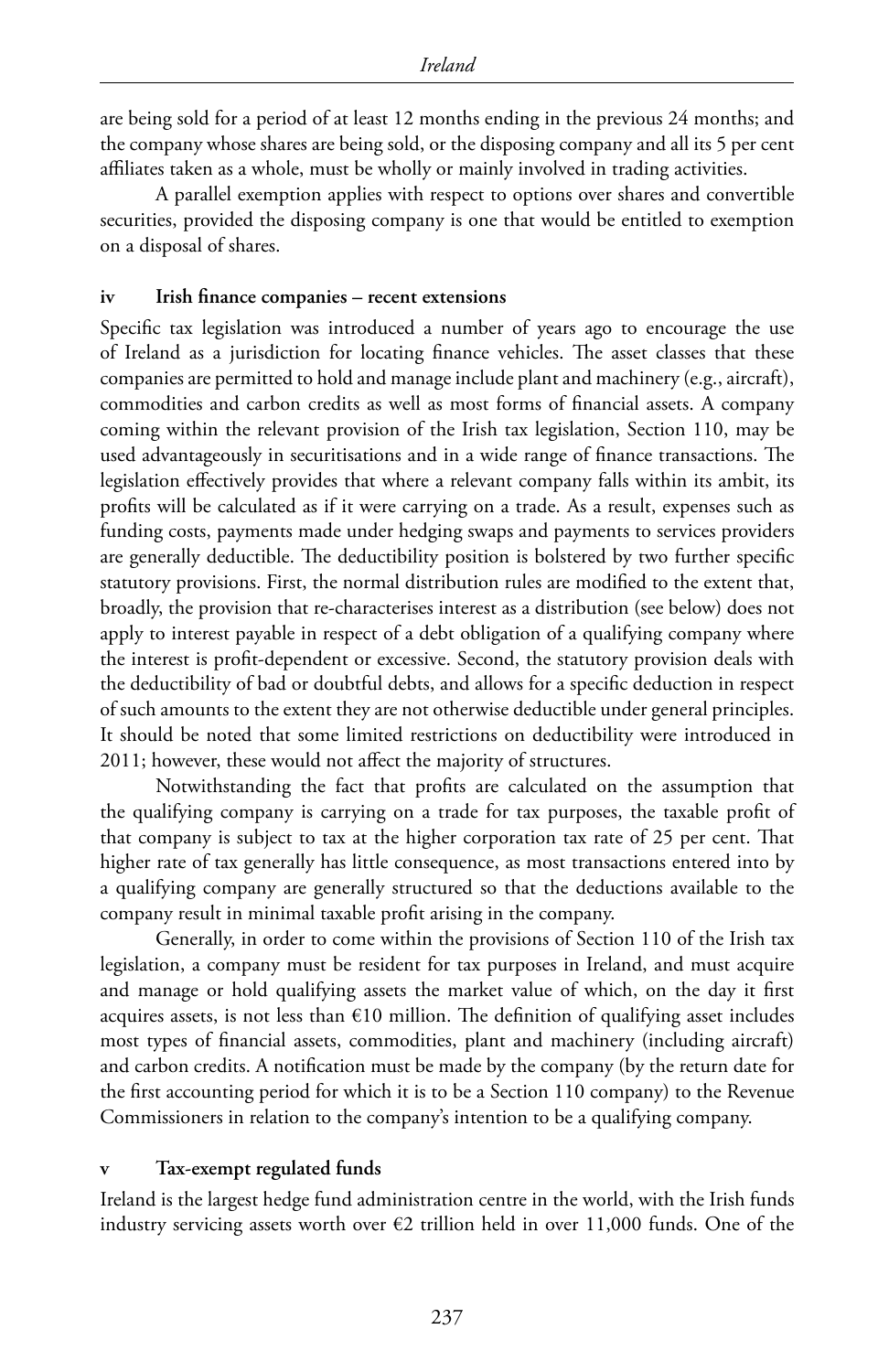are being sold for a period of at least 12 months ending in the previous 24 months; and the company whose shares are being sold, or the disposing company and all its 5 per cent affiliates taken as a whole, must be wholly or mainly involved in trading activities.

A parallel exemption applies with respect to options over shares and convertible securities, provided the disposing company is one that would be entitled to exemption on a disposal of shares.

#### **iv Irish finance companies – recent extensions**

Specific tax legislation was introduced a number of years ago to encourage the use of Ireland as a jurisdiction for locating finance vehicles. The asset classes that these companies are permitted to hold and manage include plant and machinery (e.g., aircraft), commodities and carbon credits as well as most forms of financial assets. A company coming within the relevant provision of the Irish tax legislation, Section 110, may be used advantageously in securitisations and in a wide range of finance transactions. The legislation effectively provides that where a relevant company falls within its ambit, its profits will be calculated as if it were carrying on a trade. As a result, expenses such as funding costs, payments made under hedging swaps and payments to services providers are generally deductible. The deductibility position is bolstered by two further specific statutory provisions. First, the normal distribution rules are modified to the extent that, broadly, the provision that re-characterises interest as a distribution (see below) does not apply to interest payable in respect of a debt obligation of a qualifying company where the interest is profit-dependent or excessive. Second, the statutory provision deals with the deductibility of bad or doubtful debts, and allows for a specific deduction in respect of such amounts to the extent they are not otherwise deductible under general principles. It should be noted that some limited restrictions on deductibility were introduced in 2011; however, these would not affect the majority of structures.

Notwithstanding the fact that profits are calculated on the assumption that the qualifying company is carrying on a trade for tax purposes, the taxable profit of that company is subject to tax at the higher corporation tax rate of 25 per cent. That higher rate of tax generally has little consequence, as most transactions entered into by a qualifying company are generally structured so that the deductions available to the company result in minimal taxable profit arising in the company.

Generally, in order to come within the provisions of Section 110 of the Irish tax legislation, a company must be resident for tax purposes in Ireland, and must acquire and manage or hold qualifying assets the market value of which, on the day it first acquires assets, is not less than €10 million. The definition of qualifying asset includes most types of financial assets, commodities, plant and machinery (including aircraft) and carbon credits. A notification must be made by the company (by the return date for the first accounting period for which it is to be a Section 110 company) to the Revenue Commissioners in relation to the company's intention to be a qualifying company.

#### **v Tax-exempt regulated funds**

Ireland is the largest hedge fund administration centre in the world, with the Irish funds industry servicing assets worth over  $E2$  trillion held in over 11,000 funds. One of the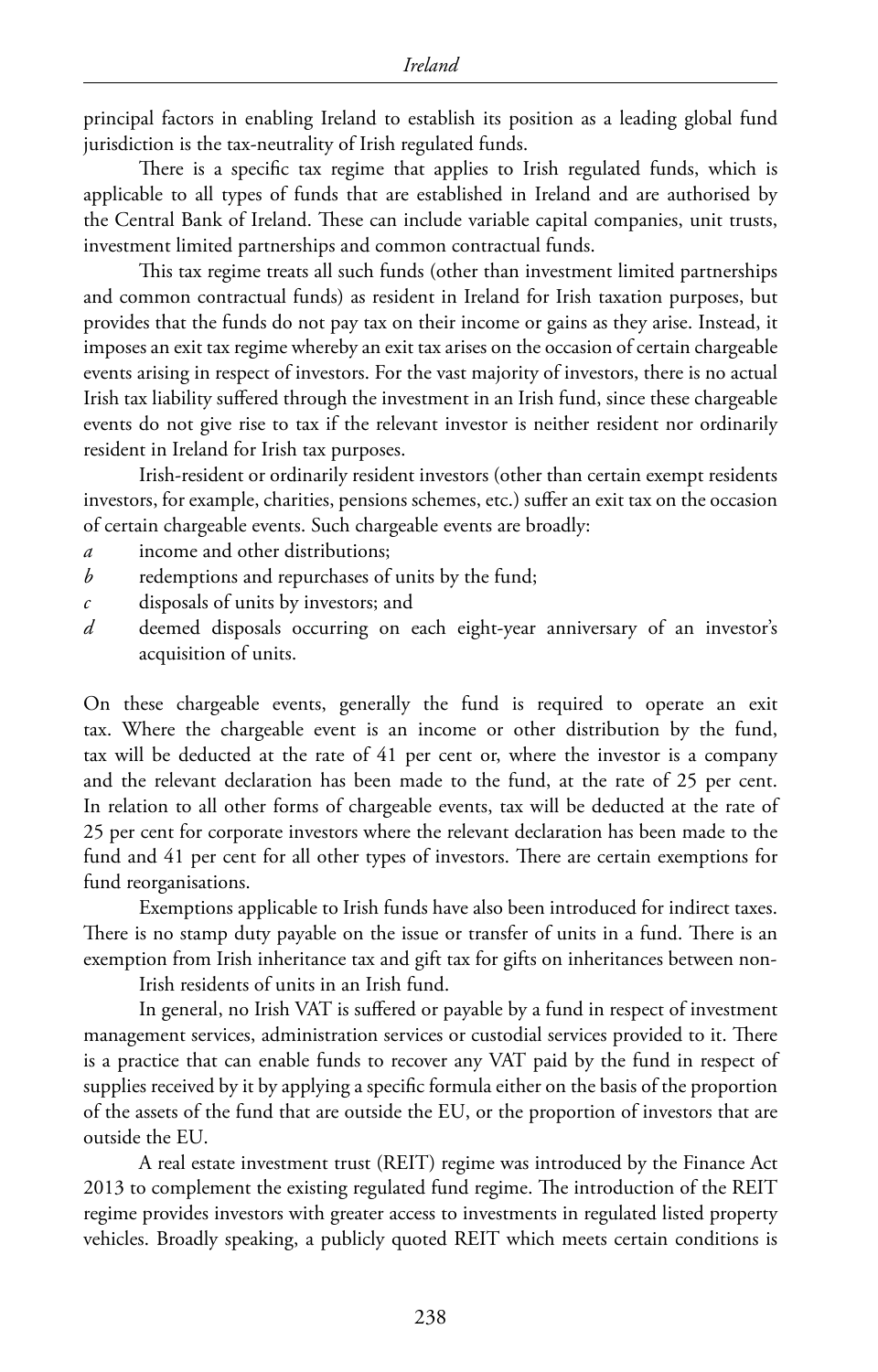principal factors in enabling Ireland to establish its position as a leading global fund jurisdiction is the tax-neutrality of Irish regulated funds.

There is a specific tax regime that applies to Irish regulated funds, which is applicable to all types of funds that are established in Ireland and are authorised by the Central Bank of Ireland. These can include variable capital companies, unit trusts, investment limited partnerships and common contractual funds.

This tax regime treats all such funds (other than investment limited partnerships and common contractual funds) as resident in Ireland for Irish taxation purposes, but provides that the funds do not pay tax on their income or gains as they arise. Instead, it imposes an exit tax regime whereby an exit tax arises on the occasion of certain chargeable events arising in respect of investors. For the vast majority of investors, there is no actual Irish tax liability suffered through the investment in an Irish fund, since these chargeable events do not give rise to tax if the relevant investor is neither resident nor ordinarily resident in Ireland for Irish tax purposes.

Irish-resident or ordinarily resident investors (other than certain exempt residents investors, for example, charities, pensions schemes, etc.) suffer an exit tax on the occasion of certain chargeable events. Such chargeable events are broadly:

- *a* income and other distributions;
- *b* redemptions and repurchases of units by the fund;
- *c* disposals of units by investors; and
- *d* deemed disposals occurring on each eight-year anniversary of an investor's acquisition of units.

On these chargeable events, generally the fund is required to operate an exit tax. Where the chargeable event is an income or other distribution by the fund, tax will be deducted at the rate of 41 per cent or, where the investor is a company and the relevant declaration has been made to the fund, at the rate of 25 per cent. In relation to all other forms of chargeable events, tax will be deducted at the rate of 25 per cent for corporate investors where the relevant declaration has been made to the fund and 41 per cent for all other types of investors. There are certain exemptions for fund reorganisations.

Exemptions applicable to Irish funds have also been introduced for indirect taxes. There is no stamp duty payable on the issue or transfer of units in a fund. There is an exemption from Irish inheritance tax and gift tax for gifts on inheritances between non-

Irish residents of units in an Irish fund.

In general, no Irish VAT is suffered or payable by a fund in respect of investment management services, administration services or custodial services provided to it. There is a practice that can enable funds to recover any VAT paid by the fund in respect of supplies received by it by applying a specific formula either on the basis of the proportion of the assets of the fund that are outside the EU, or the proportion of investors that are outside the EU.

A real estate investment trust (REIT) regime was introduced by the Finance Act 2013 to complement the existing regulated fund regime. The introduction of the REIT regime provides investors with greater access to investments in regulated listed property vehicles. Broadly speaking, a publicly quoted REIT which meets certain conditions is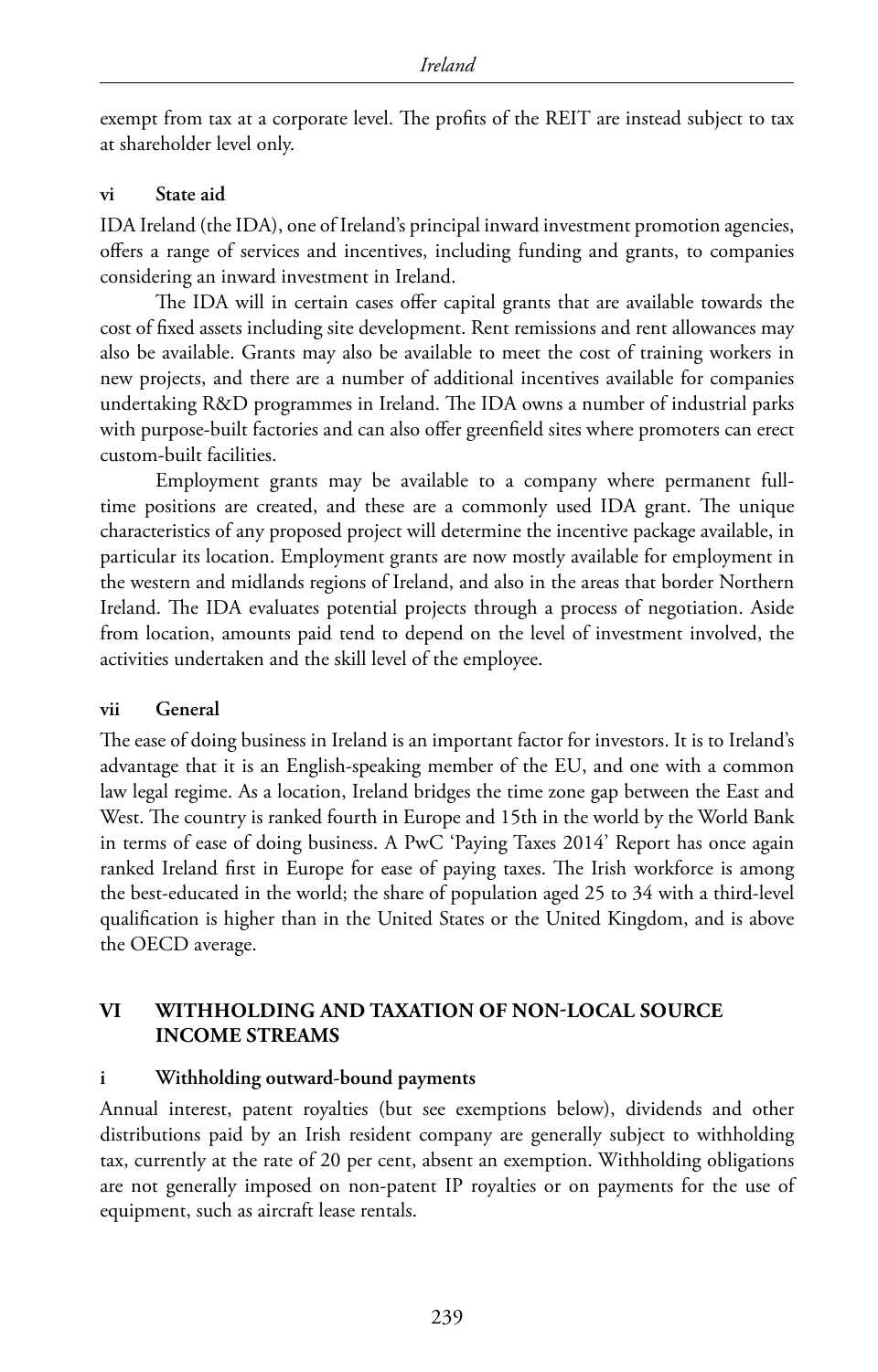exempt from tax at a corporate level. The profits of the REIT are instead subject to tax at shareholder level only.

#### **vi State aid**

IDA Ireland (the IDA), one of Ireland's principal inward investment promotion agencies, offers a range of services and incentives, including funding and grants, to companies considering an inward investment in Ireland.

The IDA will in certain cases offer capital grants that are available towards the cost of fixed assets including site development. Rent remissions and rent allowances may also be available. Grants may also be available to meet the cost of training workers in new projects, and there are a number of additional incentives available for companies undertaking R&D programmes in Ireland. The IDA owns a number of industrial parks with purpose-built factories and can also offer greenfield sites where promoters can erect custom-built facilities.

Employment grants may be available to a company where permanent fulltime positions are created, and these are a commonly used IDA grant. The unique characteristics of any proposed project will determine the incentive package available, in particular its location. Employment grants are now mostly available for employment in the western and midlands regions of Ireland, and also in the areas that border Northern Ireland. The IDA evaluates potential projects through a process of negotiation. Aside from location, amounts paid tend to depend on the level of investment involved, the activities undertaken and the skill level of the employee.

#### **vii General**

The ease of doing business in Ireland is an important factor for investors. It is to Ireland's advantage that it is an English-speaking member of the EU, and one with a common law legal regime. As a location, Ireland bridges the time zone gap between the East and West. The country is ranked fourth in Europe and 15th in the world by the World Bank in terms of ease of doing business. A PwC 'Paying Taxes 2014' Report has once again ranked Ireland first in Europe for ease of paying taxes. The Irish workforce is among the best-educated in the world; the share of population aged 25 to 34 with a third-level qualification is higher than in the United States or the United Kingdom, and is above the OECD average.

#### **VI WITHHOLDING AND TAXATION OF NON-LOCAL SOURCE INCOME STREAMS**

#### **i Withholding outward-bound payments**

Annual interest, patent royalties (but see exemptions below), dividends and other distributions paid by an Irish resident company are generally subject to withholding tax, currently at the rate of 20 per cent, absent an exemption. Withholding obligations are not generally imposed on non-patent IP royalties or on payments for the use of equipment, such as aircraft lease rentals.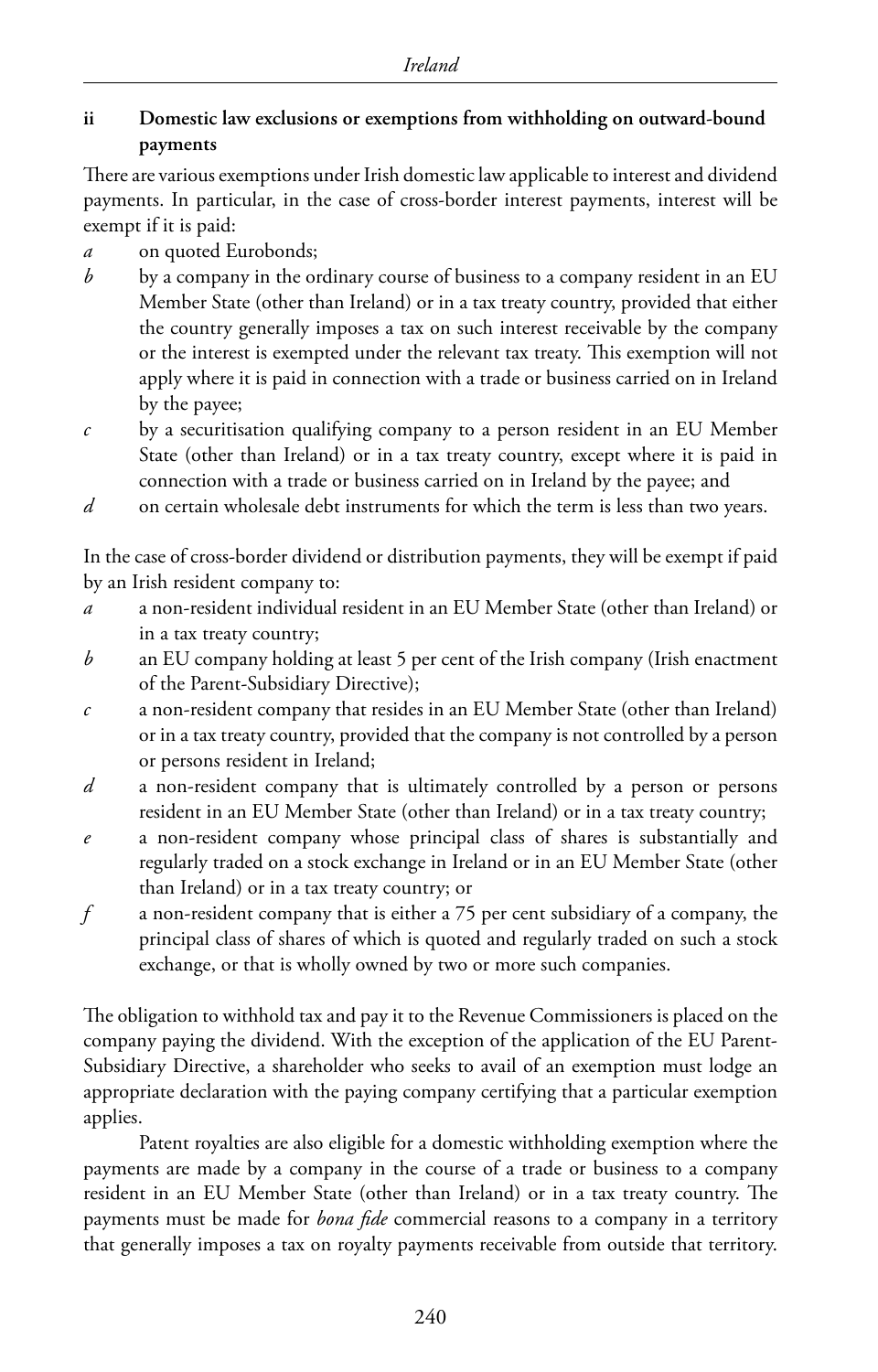#### **ii Domestic law exclusions or exemptions from withholding on outward-bound payments**

There are various exemptions under Irish domestic law applicable to interest and dividend payments. In particular, in the case of cross-border interest payments, interest will be exempt if it is paid:

- *a* on quoted Eurobonds;
- *b* by a company in the ordinary course of business to a company resident in an EU Member State (other than Ireland) or in a tax treaty country, provided that either the country generally imposes a tax on such interest receivable by the company or the interest is exempted under the relevant tax treaty. This exemption will not apply where it is paid in connection with a trade or business carried on in Ireland by the payee;
- *c* by a securitisation qualifying company to a person resident in an EU Member State (other than Ireland) or in a tax treaty country, except where it is paid in connection with a trade or business carried on in Ireland by the payee; and
- *d* on certain wholesale debt instruments for which the term is less than two years.

In the case of cross-border dividend or distribution payments, they will be exempt if paid by an Irish resident company to:

- *a* a non-resident individual resident in an EU Member State (other than Ireland) or in a tax treaty country;
- *b* an EU company holding at least 5 per cent of the Irish company (Irish enactment of the Parent-Subsidiary Directive);
- *c* a non-resident company that resides in an EU Member State (other than Ireland) or in a tax treaty country, provided that the company is not controlled by a person or persons resident in Ireland;
- *d* a non-resident company that is ultimately controlled by a person or persons resident in an EU Member State (other than Ireland) or in a tax treaty country;
- *e* a non-resident company whose principal class of shares is substantially and regularly traded on a stock exchange in Ireland or in an EU Member State (other than Ireland) or in a tax treaty country; or
- *f* a non-resident company that is either a 75 per cent subsidiary of a company, the principal class of shares of which is quoted and regularly traded on such a stock exchange, or that is wholly owned by two or more such companies.

The obligation to withhold tax and pay it to the Revenue Commissioners is placed on the company paying the dividend. With the exception of the application of the EU Parent-Subsidiary Directive, a shareholder who seeks to avail of an exemption must lodge an appropriate declaration with the paying company certifying that a particular exemption applies.

Patent royalties are also eligible for a domestic withholding exemption where the payments are made by a company in the course of a trade or business to a company resident in an EU Member State (other than Ireland) or in a tax treaty country. The payments must be made for *bona fide* commercial reasons to a company in a territory that generally imposes a tax on royalty payments receivable from outside that territory.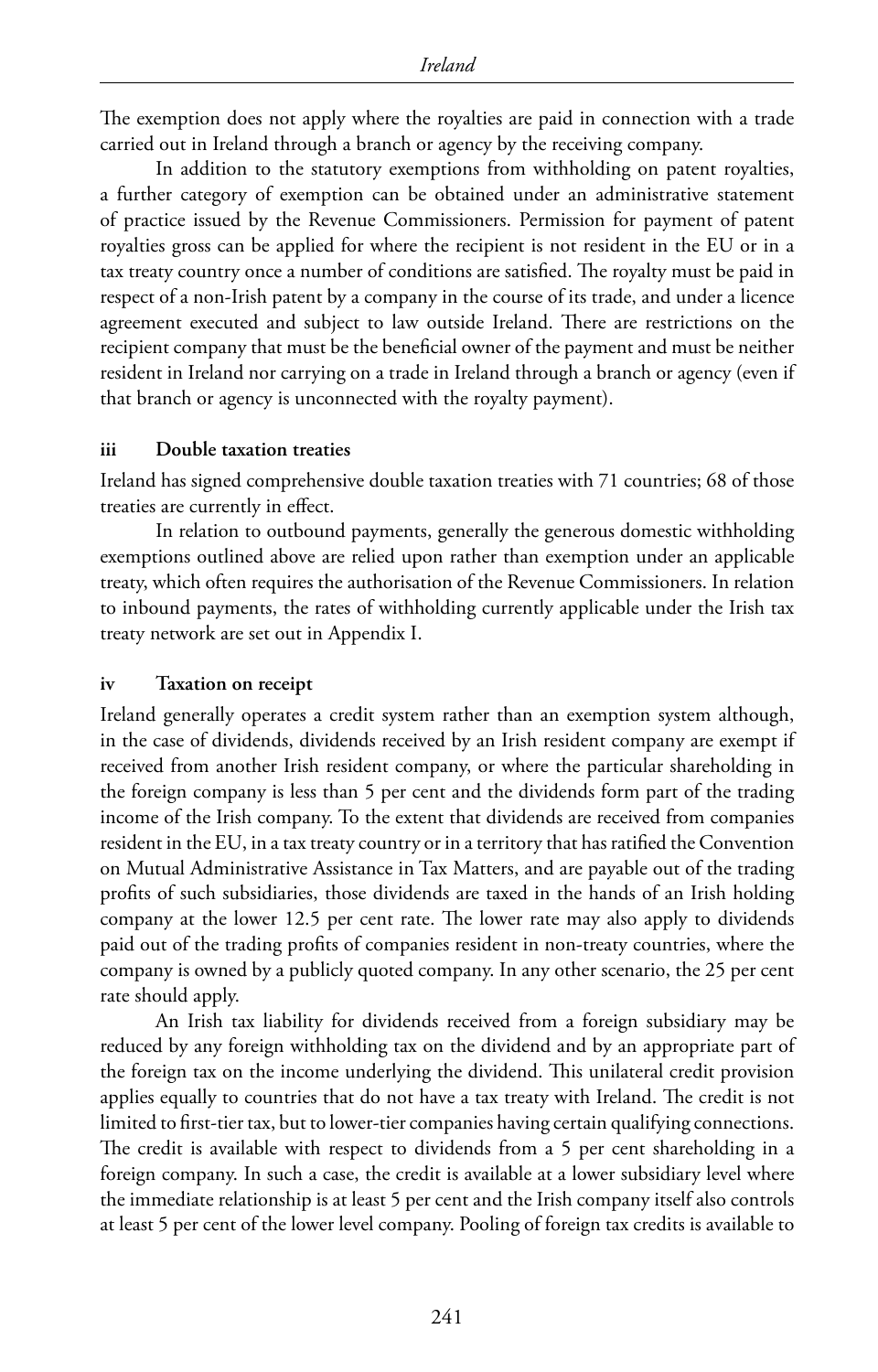The exemption does not apply where the royalties are paid in connection with a trade carried out in Ireland through a branch or agency by the receiving company.

In addition to the statutory exemptions from withholding on patent royalties, a further category of exemption can be obtained under an administrative statement of practice issued by the Revenue Commissioners. Permission for payment of patent royalties gross can be applied for where the recipient is not resident in the EU or in a tax treaty country once a number of conditions are satisfied. The royalty must be paid in respect of a non-Irish patent by a company in the course of its trade, and under a licence agreement executed and subject to law outside Ireland. There are restrictions on the recipient company that must be the beneficial owner of the payment and must be neither resident in Ireland nor carrying on a trade in Ireland through a branch or agency (even if that branch or agency is unconnected with the royalty payment).

#### **iii Double taxation treaties**

Ireland has signed comprehensive double taxation treaties with 71 countries; 68 of those treaties are currently in effect.

In relation to outbound payments, generally the generous domestic withholding exemptions outlined above are relied upon rather than exemption under an applicable treaty, which often requires the authorisation of the Revenue Commissioners. In relation to inbound payments, the rates of withholding currently applicable under the Irish tax treaty network are set out in Appendix I.

#### **iv Taxation on receipt**

Ireland generally operates a credit system rather than an exemption system although, in the case of dividends, dividends received by an Irish resident company are exempt if received from another Irish resident company, or where the particular shareholding in the foreign company is less than 5 per cent and the dividends form part of the trading income of the Irish company. To the extent that dividends are received from companies resident in the EU, in a tax treaty country or in a territory that has ratified the Convention on Mutual Administrative Assistance in Tax Matters, and are payable out of the trading profits of such subsidiaries, those dividends are taxed in the hands of an Irish holding company at the lower 12.5 per cent rate. The lower rate may also apply to dividends paid out of the trading profits of companies resident in non-treaty countries, where the company is owned by a publicly quoted company. In any other scenario, the 25 per cent rate should apply.

An Irish tax liability for dividends received from a foreign subsidiary may be reduced by any foreign withholding tax on the dividend and by an appropriate part of the foreign tax on the income underlying the dividend. This unilateral credit provision applies equally to countries that do not have a tax treaty with Ireland. The credit is not limited to first-tier tax, but to lower-tier companies having certain qualifying connections. The credit is available with respect to dividends from a 5 per cent shareholding in a foreign company. In such a case, the credit is available at a lower subsidiary level where the immediate relationship is at least 5 per cent and the Irish company itself also controls at least 5 per cent of the lower level company. Pooling of foreign tax credits is available to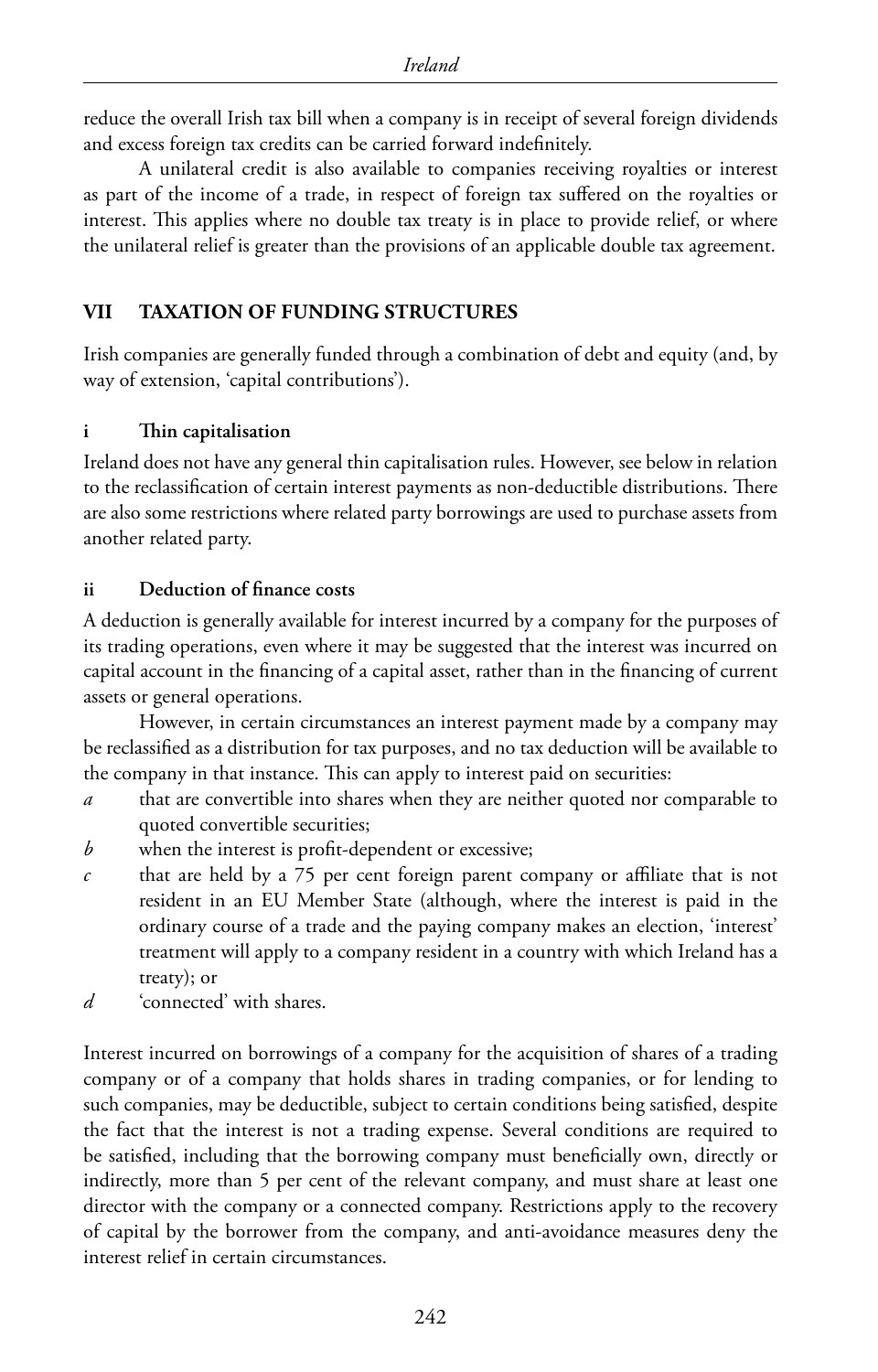reduce the overall Irish tax bill when a company is in receipt of several foreign dividends and excess foreign tax credits can be carried forward indefinitely.

A unilateral credit is also available to companies receiving royalties or interest as part of the income of a trade, in respect of foreign tax suffered on the royalties or interest. This applies where no double tax treaty is in place to provide relief, or where the unilateral relief is greater than the provisions of an applicable double tax agreement.

#### **VII TAXATION OF FUNDING STRUCTURES**

Irish companies are generally funded through a combination of debt and equity (and, by way of extension, 'capital contributions').

#### **i Thin capitalisation**

Ireland does not have any general thin capitalisation rules. However, see below in relation to the reclassification of certain interest payments as non-deductible distributions. There are also some restrictions where related party borrowings are used to purchase assets from another related party.

#### **ii Deduction of finance costs**

A deduction is generally available for interest incurred by a company for the purposes of its trading operations, even where it may be suggested that the interest was incurred on capital account in the financing of a capital asset, rather than in the financing of current assets or general operations.

However, in certain circumstances an interest payment made by a company may be reclassified as a distribution for tax purposes, and no tax deduction will be available to the company in that instance. This can apply to interest paid on securities:

- *a* that are convertible into shares when they are neither quoted nor comparable to quoted convertible securities;
- *b* when the interest is profit-dependent or excessive;
- *c* that are held by a 75 per cent foreign parent company or affiliate that is not resident in an EU Member State (although, where the interest is paid in the ordinary course of a trade and the paying company makes an election, 'interest' treatment will apply to a company resident in a country with which Ireland has a treaty); or
- *d* 'connected' with shares.

Interest incurred on borrowings of a company for the acquisition of shares of a trading company or of a company that holds shares in trading companies, or for lending to such companies, may be deductible, subject to certain conditions being satisfied, despite the fact that the interest is not a trading expense. Several conditions are required to be satisfied, including that the borrowing company must beneficially own, directly or indirectly, more than 5 per cent of the relevant company, and must share at least one director with the company or a connected company. Restrictions apply to the recovery of capital by the borrower from the company, and anti-avoidance measures deny the interest relief in certain circumstances.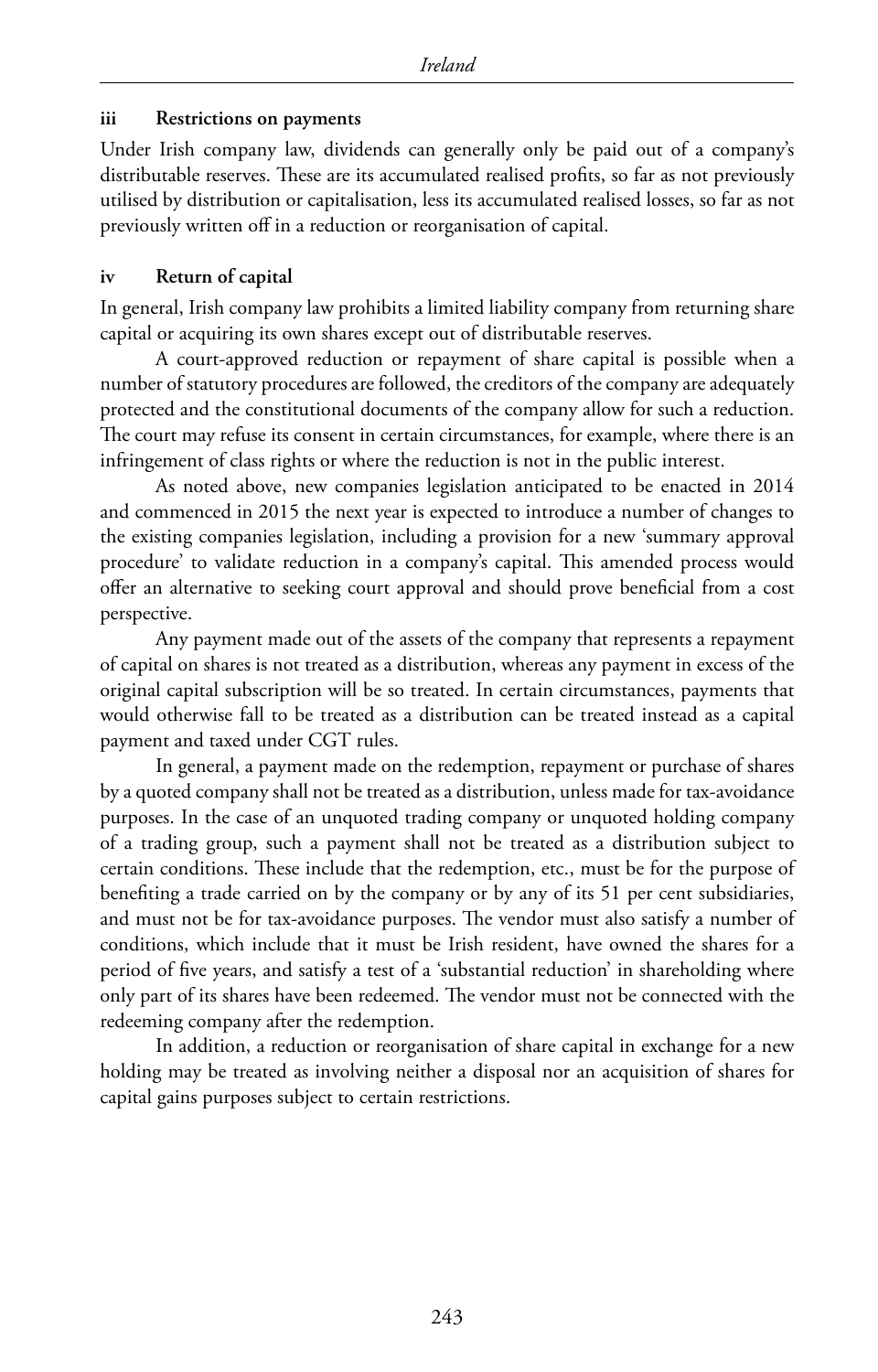#### **iii Restrictions on payments**

Under Irish company law, dividends can generally only be paid out of a company's distributable reserves. These are its accumulated realised profits, so far as not previously utilised by distribution or capitalisation, less its accumulated realised losses, so far as not previously written off in a reduction or reorganisation of capital.

#### **iv Return of capital**

In general, Irish company law prohibits a limited liability company from returning share capital or acquiring its own shares except out of distributable reserves.

A court-approved reduction or repayment of share capital is possible when a number of statutory procedures are followed, the creditors of the company are adequately protected and the constitutional documents of the company allow for such a reduction. The court may refuse its consent in certain circumstances, for example, where there is an infringement of class rights or where the reduction is not in the public interest.

As noted above, new companies legislation anticipated to be enacted in 2014 and commenced in 2015 the next year is expected to introduce a number of changes to the existing companies legislation, including a provision for a new 'summary approval procedure' to validate reduction in a company's capital. This amended process would offer an alternative to seeking court approval and should prove beneficial from a cost perspective.

Any payment made out of the assets of the company that represents a repayment of capital on shares is not treated as a distribution, whereas any payment in excess of the original capital subscription will be so treated. In certain circumstances, payments that would otherwise fall to be treated as a distribution can be treated instead as a capital payment and taxed under CGT rules.

In general, a payment made on the redemption, repayment or purchase of shares by a quoted company shall not be treated as a distribution, unless made for tax-avoidance purposes. In the case of an unquoted trading company or unquoted holding company of a trading group, such a payment shall not be treated as a distribution subject to certain conditions. These include that the redemption, etc., must be for the purpose of benefiting a trade carried on by the company or by any of its 51 per cent subsidiaries, and must not be for tax-avoidance purposes. The vendor must also satisfy a number of conditions, which include that it must be Irish resident, have owned the shares for a period of five years, and satisfy a test of a 'substantial reduction' in shareholding where only part of its shares have been redeemed. The vendor must not be connected with the redeeming company after the redemption.

In addition, a reduction or reorganisation of share capital in exchange for a new holding may be treated as involving neither a disposal nor an acquisition of shares for capital gains purposes subject to certain restrictions.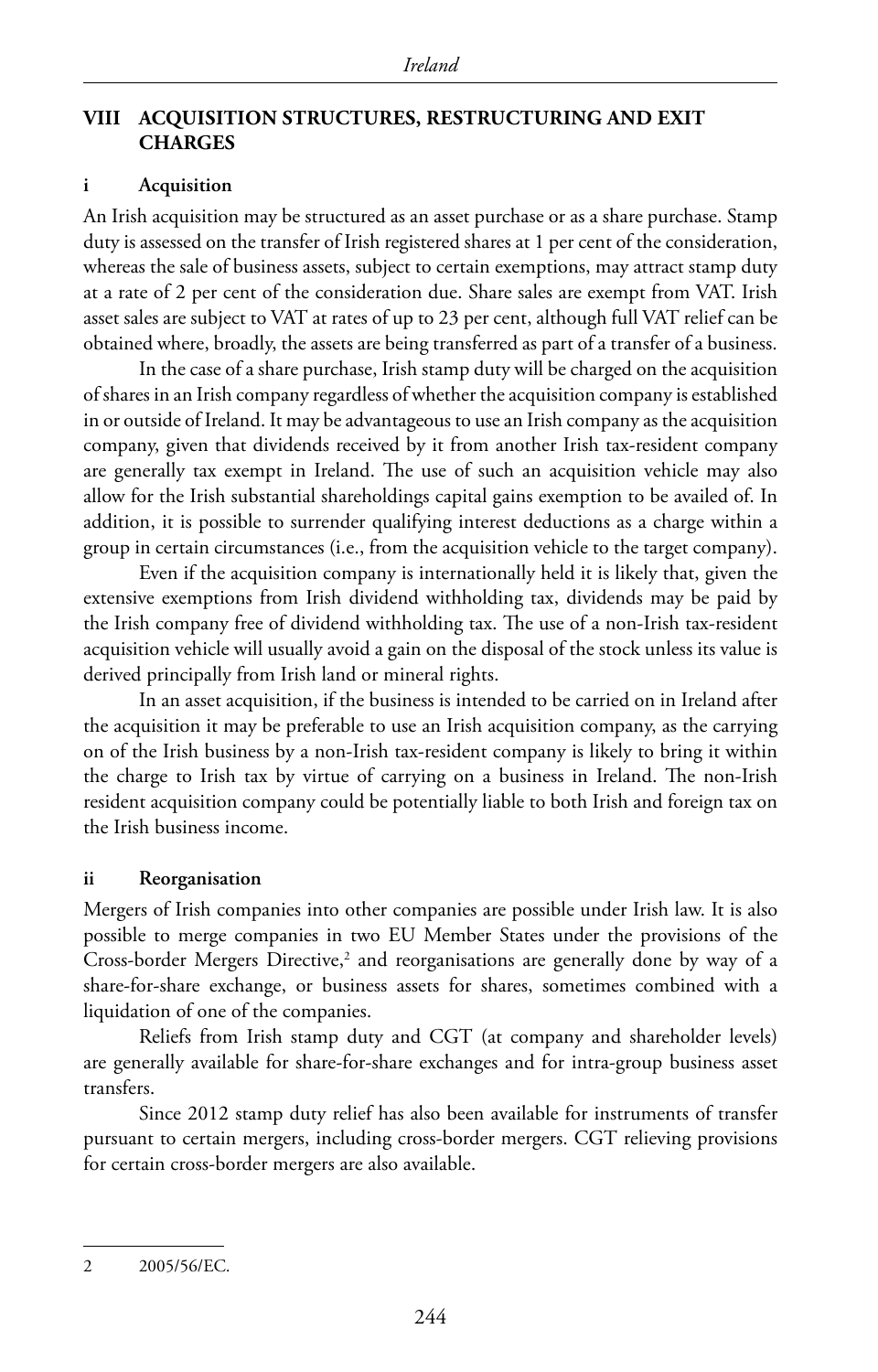#### **VIII ACQUISITION STRUCTURES, RESTRUCTURING AND EXIT CHARGES**

#### **i Acquisition**

An Irish acquisition may be structured as an asset purchase or as a share purchase. Stamp duty is assessed on the transfer of Irish registered shares at 1 per cent of the consideration, whereas the sale of business assets, subject to certain exemptions, may attract stamp duty at a rate of 2 per cent of the consideration due. Share sales are exempt from VAT. Irish asset sales are subject to VAT at rates of up to 23 per cent, although full VAT relief can be obtained where, broadly, the assets are being transferred as part of a transfer of a business.

In the case of a share purchase, Irish stamp duty will be charged on the acquisition of shares in an Irish company regardless of whether the acquisition company is established in or outside of Ireland. It may be advantageous to use an Irish company as the acquisition company, given that dividends received by it from another Irish tax-resident company are generally tax exempt in Ireland. The use of such an acquisition vehicle may also allow for the Irish substantial shareholdings capital gains exemption to be availed of. In addition, it is possible to surrender qualifying interest deductions as a charge within a group in certain circumstances (i.e., from the acquisition vehicle to the target company).

Even if the acquisition company is internationally held it is likely that, given the extensive exemptions from Irish dividend withholding tax, dividends may be paid by the Irish company free of dividend withholding tax. The use of a non-Irish tax-resident acquisition vehicle will usually avoid a gain on the disposal of the stock unless its value is derived principally from Irish land or mineral rights.

In an asset acquisition, if the business is intended to be carried on in Ireland after the acquisition it may be preferable to use an Irish acquisition company, as the carrying on of the Irish business by a non-Irish tax-resident company is likely to bring it within the charge to Irish tax by virtue of carrying on a business in Ireland. The non-Irish resident acquisition company could be potentially liable to both Irish and foreign tax on the Irish business income.

#### **ii Reorganisation**

Mergers of Irish companies into other companies are possible under Irish law. It is also possible to merge companies in two EU Member States under the provisions of the Cross-border Mergers Directive,<sup>2</sup> and reorganisations are generally done by way of a share-for-share exchange, or business assets for shares, sometimes combined with a liquidation of one of the companies.

Reliefs from Irish stamp duty and CGT (at company and shareholder levels) are generally available for share-for-share exchanges and for intra-group business asset transfers.

Since 2012 stamp duty relief has also been available for instruments of transfer pursuant to certain mergers, including cross-border mergers. CGT relieving provisions for certain cross-border mergers are also available.

<sup>2</sup> 2005/56/EC.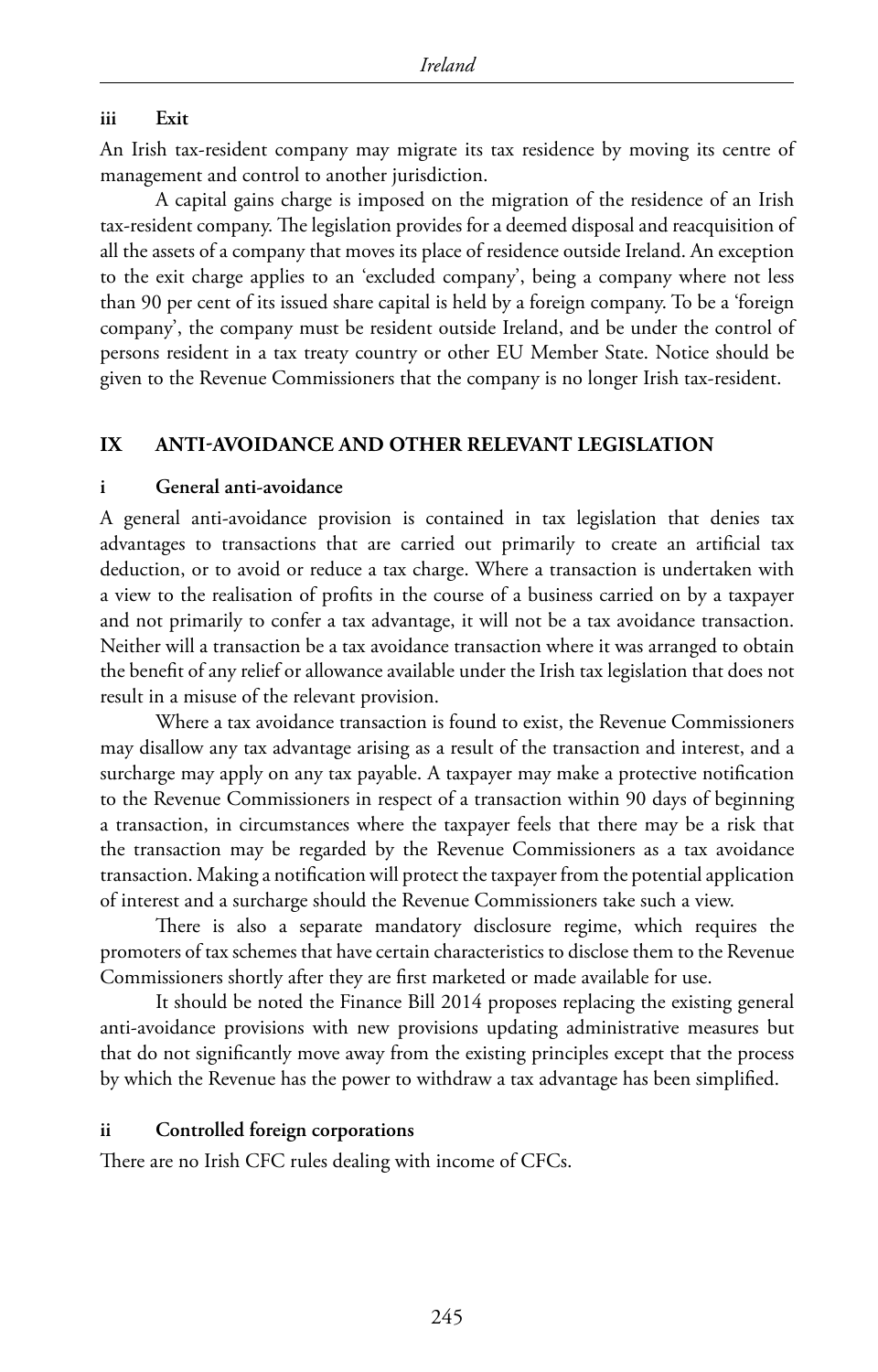#### **iii Exit**

An Irish tax-resident company may migrate its tax residence by moving its centre of management and control to another jurisdiction.

A capital gains charge is imposed on the migration of the residence of an Irish tax-resident company. The legislation provides for a deemed disposal and reacquisition of all the assets of a company that moves its place of residence outside Ireland. An exception to the exit charge applies to an 'excluded company', being a company where not less than 90 per cent of its issued share capital is held by a foreign company. To be a 'foreign company', the company must be resident outside Ireland, and be under the control of persons resident in a tax treaty country or other EU Member State. Notice should be given to the Revenue Commissioners that the company is no longer Irish tax-resident.

#### **IX ANTI-AVOIDANCE AND OTHER RELEVANT LEGISLATION**

#### **i General anti-avoidance**

A general anti-avoidance provision is contained in tax legislation that denies tax advantages to transactions that are carried out primarily to create an artificial tax deduction, or to avoid or reduce a tax charge. Where a transaction is undertaken with a view to the realisation of profits in the course of a business carried on by a taxpayer and not primarily to confer a tax advantage, it will not be a tax avoidance transaction. Neither will a transaction be a tax avoidance transaction where it was arranged to obtain the benefit of any relief or allowance available under the Irish tax legislation that does not result in a misuse of the relevant provision.

Where a tax avoidance transaction is found to exist, the Revenue Commissioners may disallow any tax advantage arising as a result of the transaction and interest, and a surcharge may apply on any tax payable. A taxpayer may make a protective notification to the Revenue Commissioners in respect of a transaction within 90 days of beginning a transaction, in circumstances where the taxpayer feels that there may be a risk that the transaction may be regarded by the Revenue Commissioners as a tax avoidance transaction. Making a notification will protect the taxpayer from the potential application of interest and a surcharge should the Revenue Commissioners take such a view.

There is also a separate mandatory disclosure regime, which requires the promoters of tax schemes that have certain characteristics to disclose them to the Revenue Commissioners shortly after they are first marketed or made available for use.

It should be noted the Finance Bill 2014 proposes replacing the existing general anti-avoidance provisions with new provisions updating administrative measures but that do not significantly move away from the existing principles except that the process by which the Revenue has the power to withdraw a tax advantage has been simplified.

#### **ii Controlled foreign corporations**

There are no Irish CFC rules dealing with income of CFCs.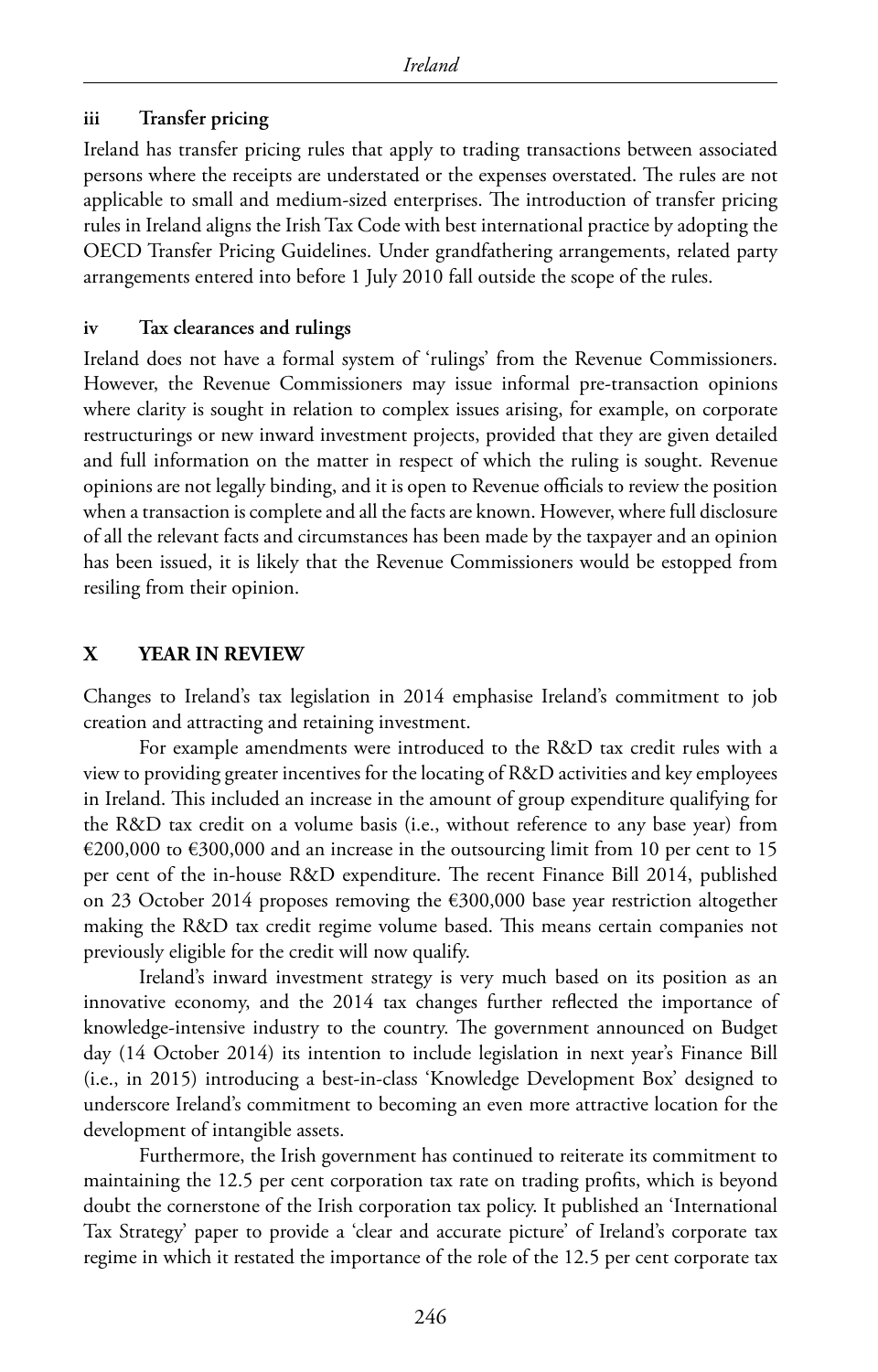#### **iii Transfer pricing**

Ireland has transfer pricing rules that apply to trading transactions between associated persons where the receipts are understated or the expenses overstated. The rules are not applicable to small and medium-sized enterprises. The introduction of transfer pricing rules in Ireland aligns the Irish Tax Code with best international practice by adopting the OECD Transfer Pricing Guidelines. Under grandfathering arrangements, related party arrangements entered into before 1 July 2010 fall outside the scope of the rules.

#### **iv Tax clearances and rulings**

Ireland does not have a formal system of 'rulings' from the Revenue Commissioners. However, the Revenue Commissioners may issue informal pre-transaction opinions where clarity is sought in relation to complex issues arising, for example, on corporate restructurings or new inward investment projects, provided that they are given detailed and full information on the matter in respect of which the ruling is sought. Revenue opinions are not legally binding, and it is open to Revenue officials to review the position when a transaction is complete and all the facts are known. However, where full disclosure of all the relevant facts and circumstances has been made by the taxpayer and an opinion has been issued, it is likely that the Revenue Commissioners would be estopped from resiling from their opinion.

#### **X YEAR IN REVIEW**

Changes to Ireland's tax legislation in 2014 emphasise Ireland's commitment to job creation and attracting and retaining investment.

For example amendments were introduced to the R&D tax credit rules with a view to providing greater incentives for the locating of R&D activities and key employees in Ireland. This included an increase in the amount of group expenditure qualifying for the R&D tax credit on a volume basis (i.e., without reference to any base year) from €200,000 to €300,000 and an increase in the outsourcing limit from 10 per cent to 15 per cent of the in-house R&D expenditure. The recent Finance Bill 2014, published on 23 October 2014 proposes removing the €300,000 base year restriction altogether making the R&D tax credit regime volume based. This means certain companies not previously eligible for the credit will now qualify.

Ireland's inward investment strategy is very much based on its position as an innovative economy, and the 2014 tax changes further reflected the importance of knowledge-intensive industry to the country. The government announced on Budget day (14 October 2014) its intention to include legislation in next year's Finance Bill (i.e., in 2015) introducing a best-in-class 'Knowledge Development Box' designed to underscore Ireland's commitment to becoming an even more attractive location for the development of intangible assets.

Furthermore, the Irish government has continued to reiterate its commitment to maintaining the 12.5 per cent corporation tax rate on trading profits, which is beyond doubt the cornerstone of the Irish corporation tax policy. It published an 'International Tax Strategy' paper to provide a 'clear and accurate picture' of Ireland's corporate tax regime in which it restated the importance of the role of the 12.5 per cent corporate tax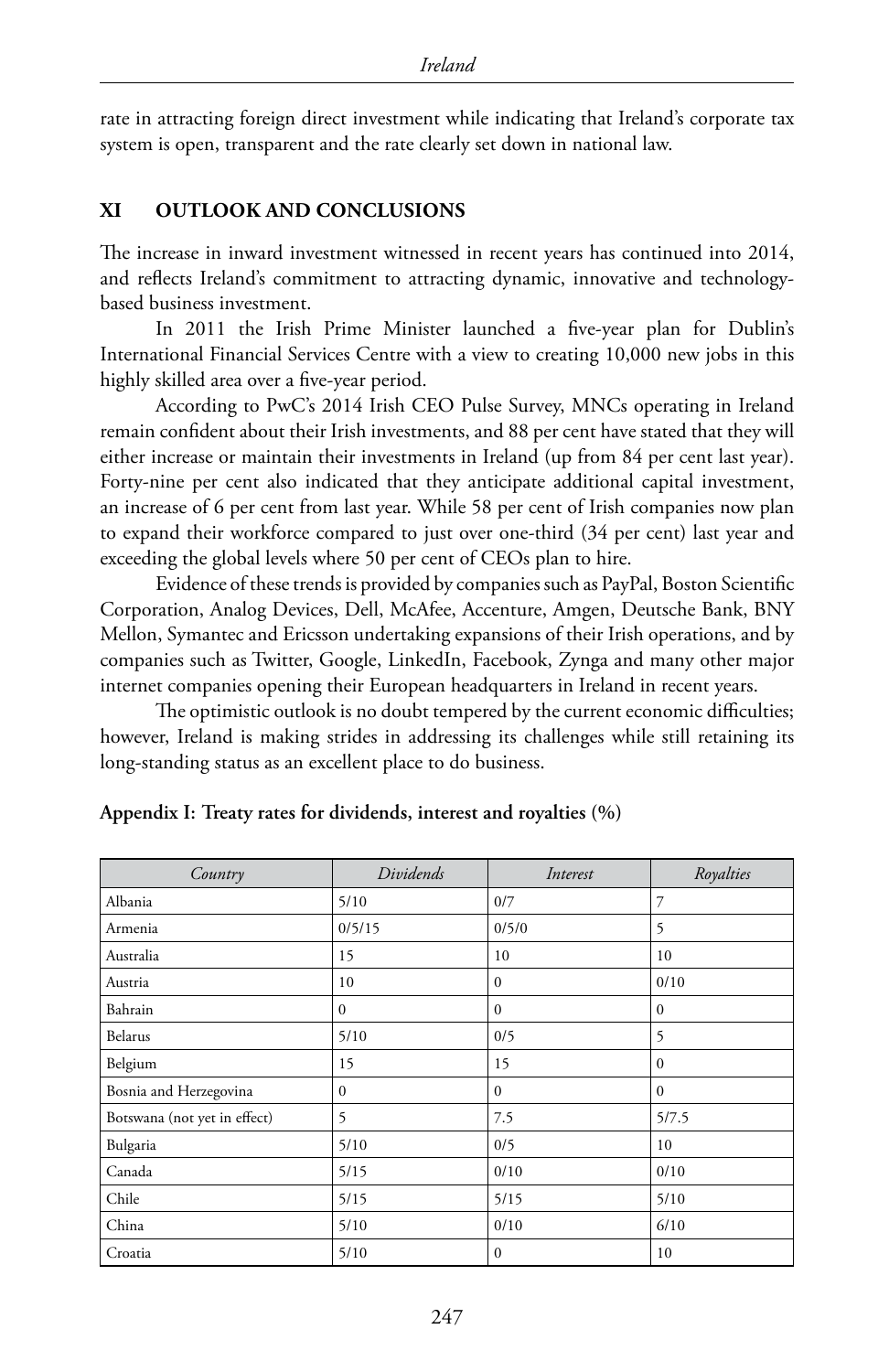rate in attracting foreign direct investment while indicating that Ireland's corporate tax system is open, transparent and the rate clearly set down in national law.

#### **XI OUTLOOK AND CONCLUSIONS**

The increase in inward investment witnessed in recent years has continued into 2014, and reflects Ireland's commitment to attracting dynamic, innovative and technologybased business investment.

In 2011 the Irish Prime Minister launched a five-year plan for Dublin's International Financial Services Centre with a view to creating 10,000 new jobs in this highly skilled area over a five-year period.

According to PwC's 2014 Irish CEO Pulse Survey, MNCs operating in Ireland remain confident about their Irish investments, and 88 per cent have stated that they will either increase or maintain their investments in Ireland (up from 84 per cent last year). Forty-nine per cent also indicated that they anticipate additional capital investment, an increase of 6 per cent from last year. While 58 per cent of Irish companies now plan to expand their workforce compared to just over one-third (34 per cent) last year and exceeding the global levels where 50 per cent of CEOs plan to hire.

Evidence of these trends is provided by companies such as PayPal, Boston Scientific Corporation, Analog Devices, Dell, McAfee, Accenture, Amgen, Deutsche Bank, BNY Mellon, Symantec and Ericsson undertaking expansions of their Irish operations, and by companies such as Twitter, Google, LinkedIn, Facebook, Zynga and many other major internet companies opening their European headquarters in Ireland in recent years.

The optimistic outlook is no doubt tempered by the current economic difficulties; however, Ireland is making strides in addressing its challenges while still retaining its long-standing status as an excellent place to do business.

| Country                      | Dividends    | Interest     | Royalties    |
|------------------------------|--------------|--------------|--------------|
| Albania                      | 5/10         | 0/7          | 7            |
| Armenia                      | 0/5/15       | 0/5/0        | 5            |
| Australia                    | 15           | 10           | 10           |
| Austria                      | 10           | $\mathbf{0}$ | 0/10         |
| Bahrain                      | $\mathbf{0}$ | $\mathbf{0}$ | $\mathbf{0}$ |
| Belarus                      | 5/10         | 0/5          | 5            |
| Belgium                      | 15           | 15           | $\mathbf{0}$ |
| Bosnia and Herzegovina       | $\mathbf{0}$ | $\Omega$     | $\theta$     |
| Botswana (not yet in effect) | 5            | 7.5          | 5/7.5        |
| Bulgaria                     | 5/10         | 0/5          | 10           |
| Canada                       | 5/15         | 0/10         | 0/10         |
| Chile                        | 5/15         | 5/15         | 5/10         |
| China                        | 5/10         | 0/10         | 6/10         |
| Croatia                      | 5/10         | $\Omega$     | 10           |

#### **Appendix I: Treaty rates for dividends, interest and royalties (%)**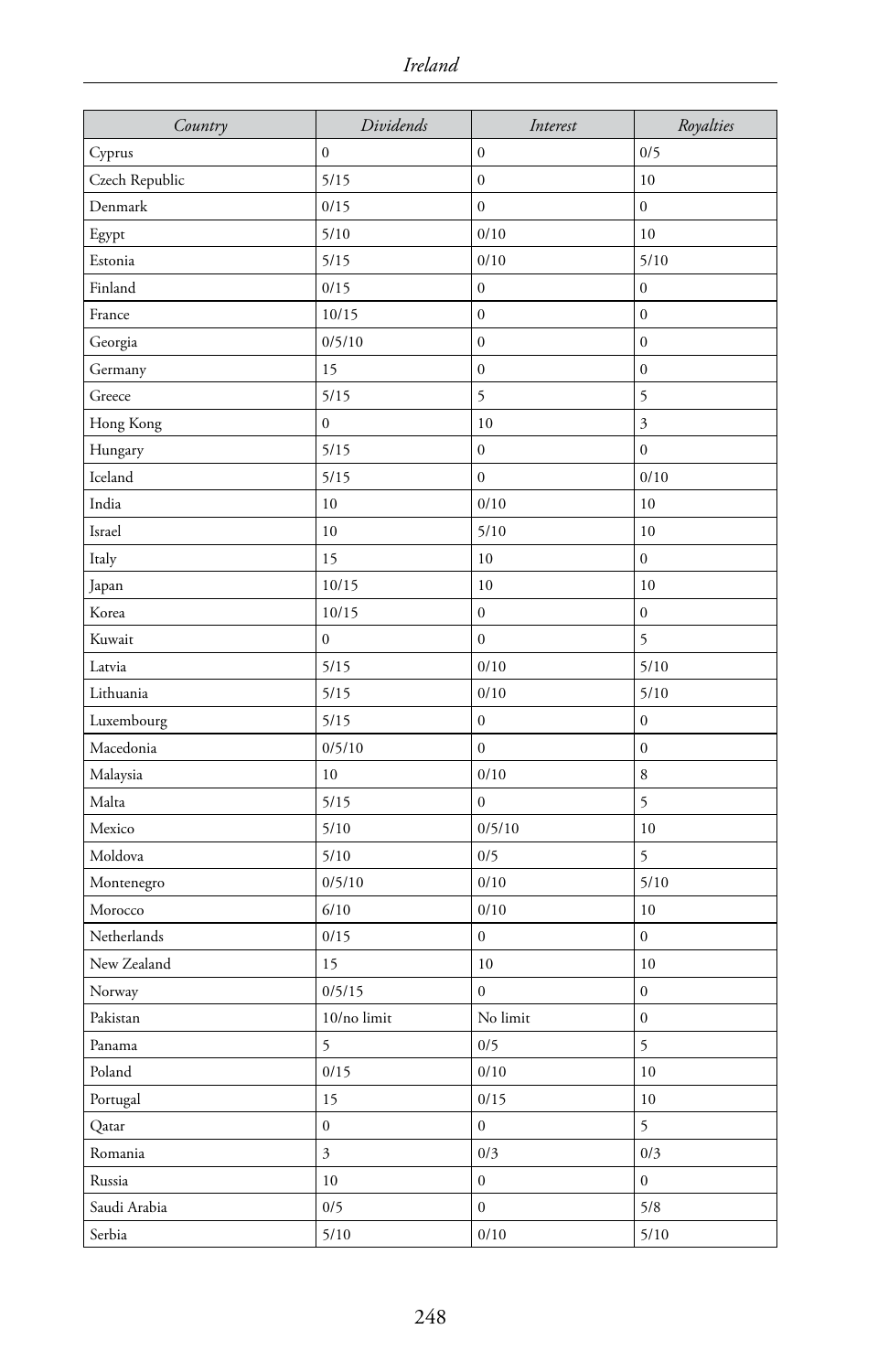| Country        | Dividends                | Interest         | Royalties        |
|----------------|--------------------------|------------------|------------------|
| Cyprus         | $\boldsymbol{0}$         | $\boldsymbol{0}$ | 0/5              |
| Czech Republic | 5/15                     | $\boldsymbol{0}$ | 10               |
| Denmark        | 0/15                     | $\mathbf{0}$     | $\boldsymbol{0}$ |
| Egypt          | 5/10                     | 0/10             | 10               |
| Estonia        | 5/15                     | 0/10             | 5/10             |
| Finland        | 0/15                     | $\boldsymbol{0}$ | $\boldsymbol{0}$ |
| France         | 10/15                    | $\boldsymbol{0}$ | $\boldsymbol{0}$ |
| Georgia        | 0/5/10                   | $\mathbf{0}$     | $\mathbf 0$      |
| Germany        | 15                       | $\boldsymbol{0}$ | $\boldsymbol{0}$ |
| Greece         | 5/15                     | 5                | 5                |
| Hong Kong      | $\mathbf 0$              | 10               | $\mathfrak{Z}$   |
| Hungary        | 5/15                     | $\boldsymbol{0}$ | $\mathbf 0$      |
| Iceland        | 5/15                     | $\boldsymbol{0}$ | $0/10$           |
| India          | 10                       | 0/10             | 10               |
| Israel         | 10                       | 5/10             | 10               |
| Italy          | 15                       | 10               | $\boldsymbol{0}$ |
| Japan          | 10/15                    | $10\,$           | 10               |
| Korea          | 10/15                    | $\boldsymbol{0}$ | $\boldsymbol{0}$ |
| Kuwait         | $\boldsymbol{0}$         | $\boldsymbol{0}$ | 5                |
| Latvia         | 5/15                     | 0/10             | 5/10             |
| Lithuania      | 5/15                     | 0/10             | 5/10             |
| Luxembourg     | 5/15                     | $\boldsymbol{0}$ | $\boldsymbol{0}$ |
| Macedonia      | 0/5/10                   | $\mathbf{0}$     | $\boldsymbol{0}$ |
| Malaysia       | 10                       | 0/10             | 8                |
| Malta          | 5/15                     | $\boldsymbol{0}$ | 5                |
| Mexico         | 5/10                     | 0/5/10           | 10               |
| Moldova        | 5/10                     | 0/5              | 5                |
| Montenegro     | 0/5/10                   | 0/10             | 5/10             |
| Morocco        | 6/10                     | 0/10             | 10               |
| Netherlands    | 0/15                     | $\boldsymbol{0}$ | $\boldsymbol{0}$ |
| New Zealand    | 15                       | 10               | 10               |
| Norway         | 0/5/15                   | 0                | $\boldsymbol{0}$ |
| Pakistan       | $10/\mathrm{no}\;$ limit | No limit         | $\boldsymbol{0}$ |
| Panama         | 5                        | 0/5              | 5                |
| Poland         | $0/15$                   | $0/10$           | 10               |
| Portugal       | 15                       | $0/15$           | $10\,$           |
| Qatar          | $\boldsymbol{0}$         | $\boldsymbol{0}$ | 5                |
| Romania        | $\mathfrak{Z}$           | 0/3              | 0/3              |
| Russia         | $10\,$                   | $\boldsymbol{0}$ | $\boldsymbol{0}$ |
| Saudi Arabia   | 0/5                      | $\mathbf{0}$     | 5/8              |
| Serbia         | $5/10$                   | $0/10\,$         | 5/10             |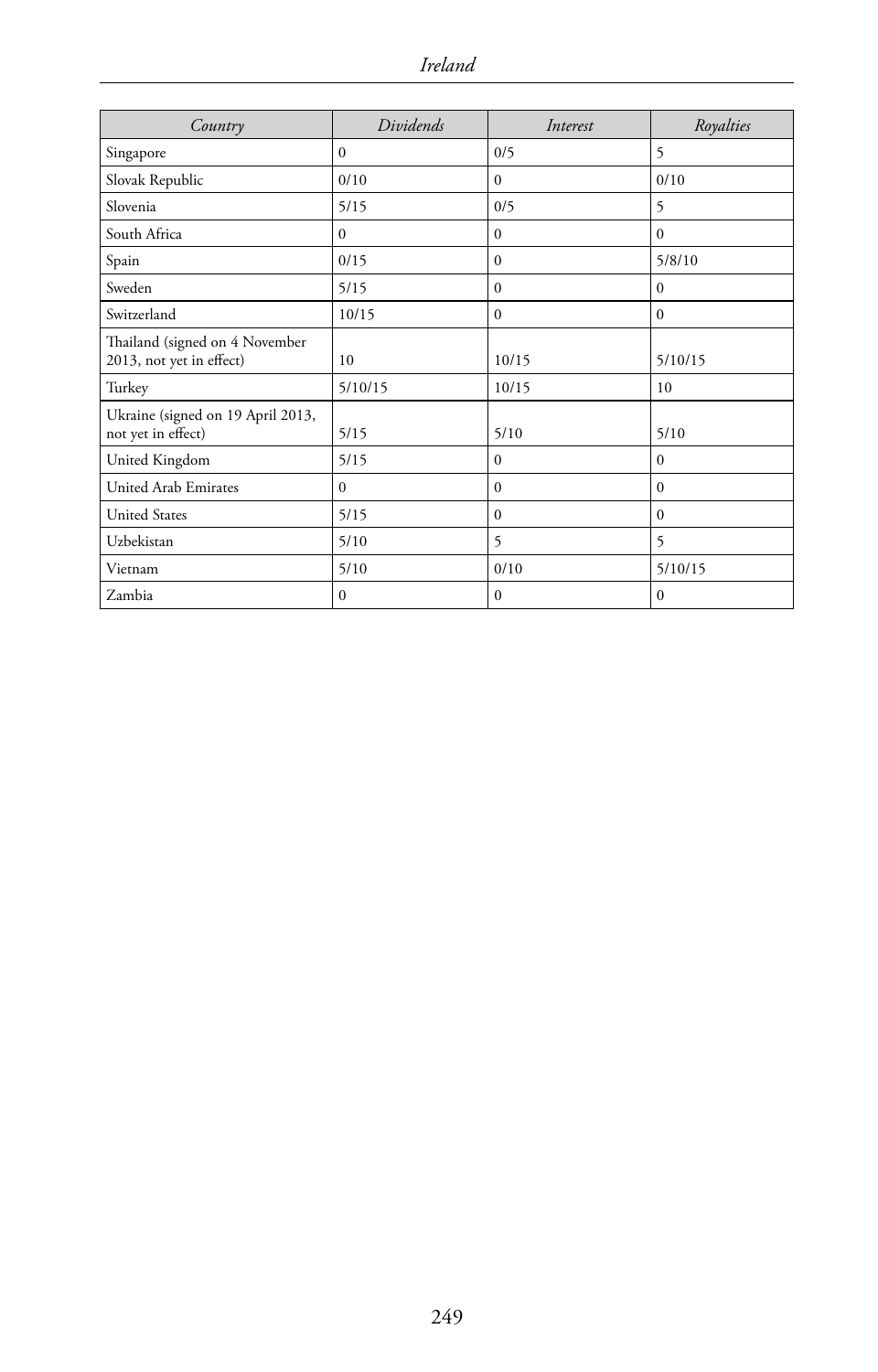| Country                                                    | Dividends    | Interest | Royalties      |
|------------------------------------------------------------|--------------|----------|----------------|
| Singapore                                                  | $\Omega$     | 0/5      | 5              |
| Slovak Republic                                            | 0/10         | $\Omega$ | 0/10           |
| Slovenia                                                   | 5/15         | 0/5      | 5              |
| South Africa                                               | $\Omega$     | $\Omega$ | $\Omega$       |
| Spain                                                      | 0/15         | $\Omega$ | 5/8/10         |
| Sweden                                                     | 5/15         | $\Omega$ | $\mathbf{0}$   |
| Switzerland                                                | 10/15        | $\Omega$ | $\mathbf{0}$   |
| Thailand (signed on 4 November<br>2013, not yet in effect) | 10           | 10/15    | 5/10/15        |
| Turkey                                                     | 5/10/15      | 10/15    | 10             |
| Ukraine (signed on 19 April 2013,<br>not yet in effect)    | 5/15         | 5/10     | 5/10           |
| United Kingdom                                             | 5/15         | $\Omega$ | $\mathbf{0}$   |
| United Arab Emirates                                       | $\Omega$     | $\Omega$ | $\Omega$       |
| <b>United States</b>                                       | 5/15         | $\Omega$ | $\Omega$       |
| Uzbekistan                                                 | 5/10         | 5        | $\overline{5}$ |
| Vietnam                                                    | 5/10         | 0/10     | 5/10/15        |
| Zambia                                                     | $\mathbf{0}$ | $\Omega$ | $\mathbf{0}$   |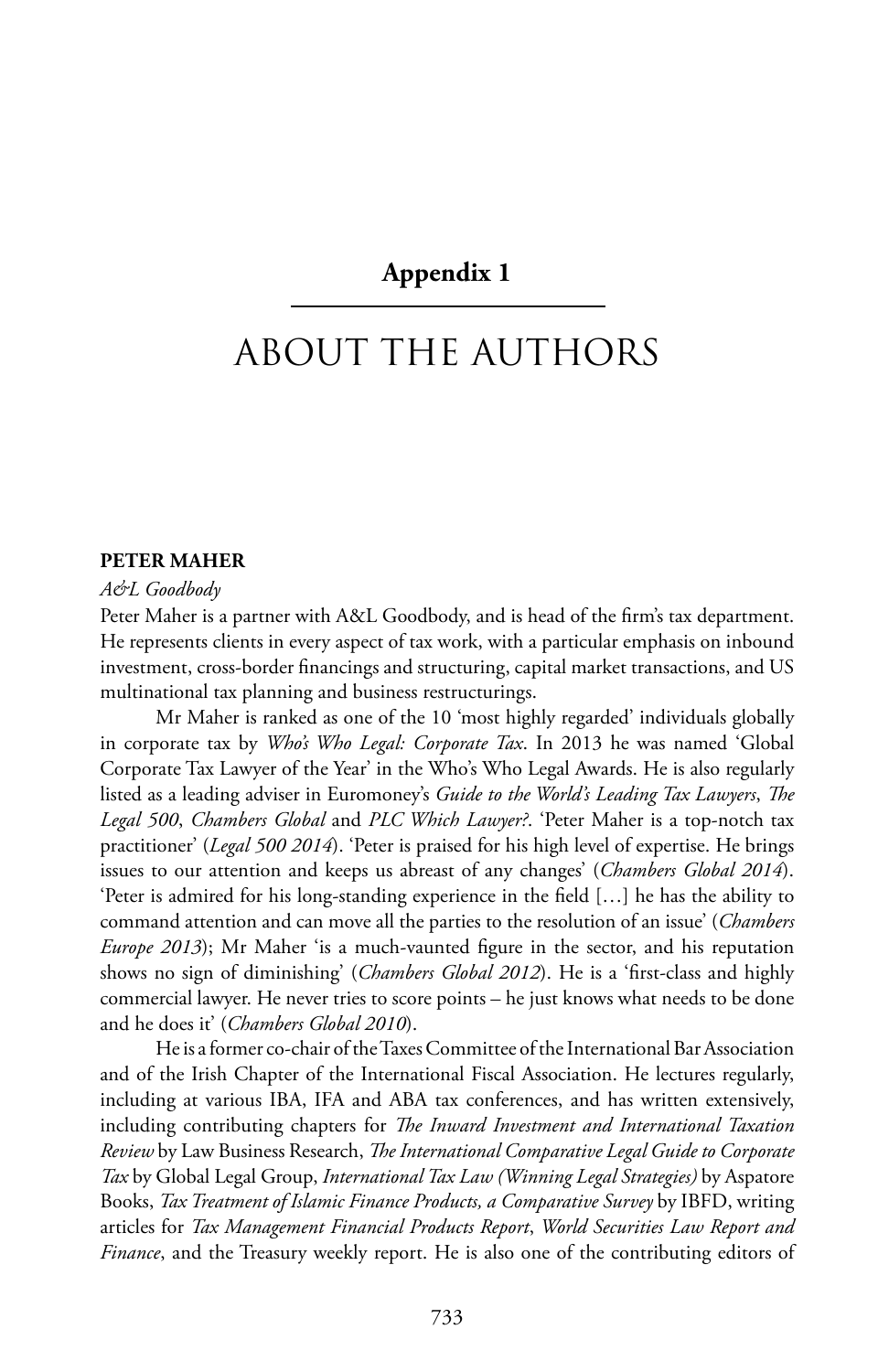#### **Appendix 1**

# ABOUT THE AUTHORS

#### **PETER MAHER**

#### *A&L Goodbody*

Peter Maher is a partner with A&L Goodbody, and is head of the firm's tax department. He represents clients in every aspect of tax work, with a particular emphasis on inbound investment, cross-border financings and structuring, capital market transactions, and US multinational tax planning and business restructurings.

Mr Maher is ranked as one of the 10 'most highly regarded' individuals globally in corporate tax by *Who's Who Legal: Corporate Tax*. In 2013 he was named 'Global Corporate Tax Lawyer of the Year' in the Who's Who Legal Awards. He is also regularly listed as a leading adviser in Euromoney's *Guide to the World's Leading Tax Lawyers*, *The Legal 500*, *Chambers Global* and *PLC Which Lawyer?*. 'Peter Maher is a top-notch tax practitioner' (*Legal 500 2014*). 'Peter is praised for his high level of expertise. He brings issues to our attention and keeps us abreast of any changes' (*Chambers Global 2014*). 'Peter is admired for his long-standing experience in the field […] he has the ability to command attention and can move all the parties to the resolution of an issue' (*Chambers Europe 2013*); Mr Maher 'is a much-vaunted figure in the sector, and his reputation shows no sign of diminishing' (*Chambers Global 2012*). He is a 'first-class and highly commercial lawyer. He never tries to score points – he just knows what needs to be done and he does it' (*Chambers Global 2010*).

He is a former co-chair of the Taxes Committee of the International Bar Association and of the Irish Chapter of the International Fiscal Association. He lectures regularly, including at various IBA, IFA and ABA tax conferences, and has written extensively, including contributing chapters for *The Inward Investment and International Taxation Review* by Law Business Research, *The International Comparative Legal Guide to Corporate Tax* by Global Legal Group, *International Tax Law (Winning Legal Strategies)* by Aspatore Books, *Tax Treatment of Islamic Finance Products, a Comparative Survey* by IBFD, writing articles for *Tax Management Financial Products Report*, *World Securities Law Report and Finance*, and the Treasury weekly report. He is also one of the contributing editors of